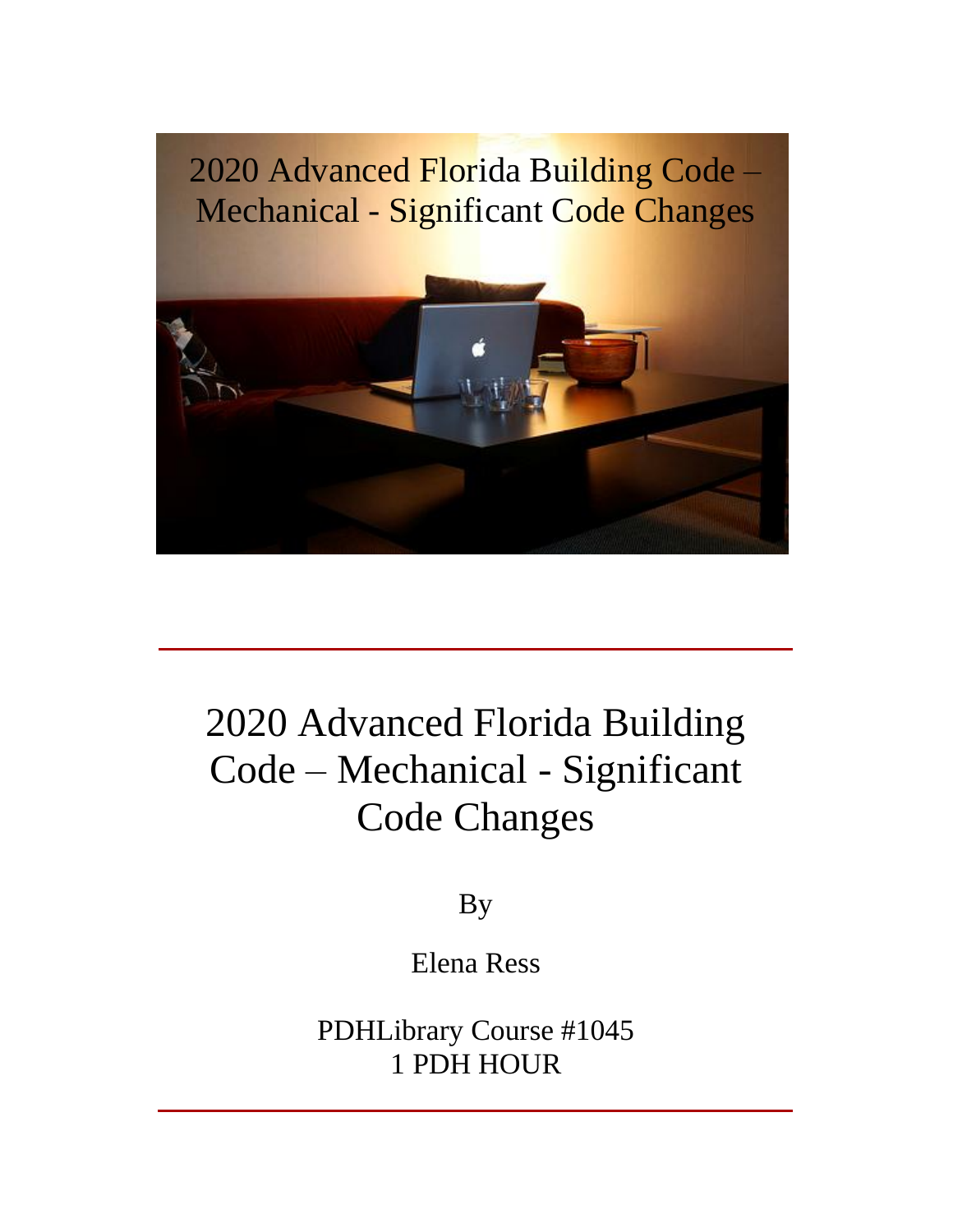

# 2020 Advanced Florida Building n<br>2020 Advanced Florida Building<br>Code – Mechanical - Significant Code Changes

By

Elena Ress

PDHLibrary Course #1045 1 PDH HOUR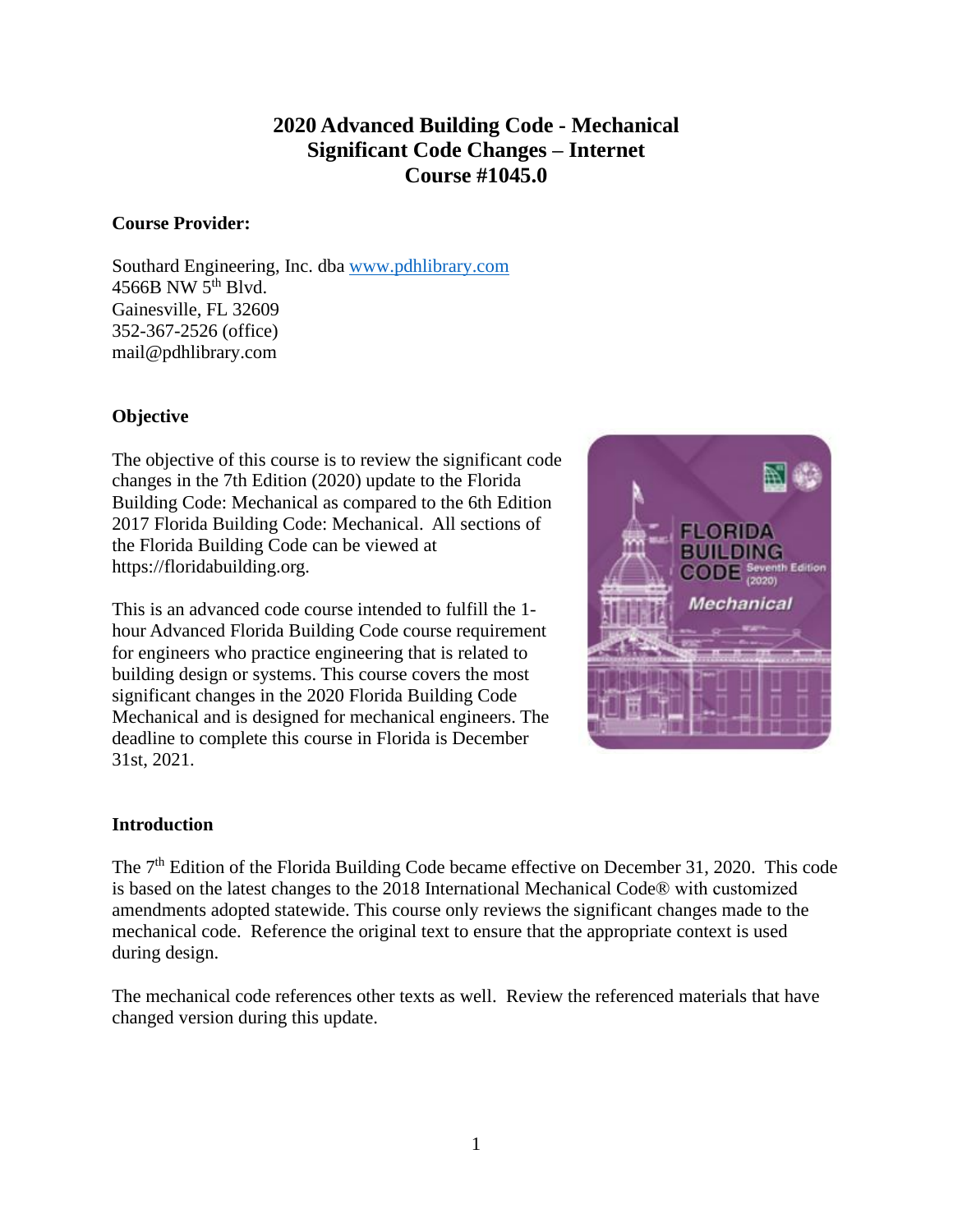## **2020 Advanced Building Code - Mechanical Significant Code Changes <sup>ñ</sup> Internet Course #1045.0**

#### **Course Provider:**

Southard Engineering, Inc. dba [www.pdhlibrary.com](http://www.pdhlibrary.com)  $4566B$  NW  $5<sup>th</sup>$  Blvd. Gainesville, FL 32609 352-367-2526 (office) [mail@pdhlibrary.com](mailto:mail@pdhlibrary.com)

### **Objective**

The objective of this course is to review the significant code changes in the 7th Edition (2020) update to the Florida Building Code: Mechanical as compared to the 6th Edition 2017 Florida Building Code: Mechanical. All sections of the Florida Building Code can be viewed at <https://floridabuilding.org.>

This is an advanced code course intended to fulfill the 1 hour Advanced Florida Building Code course requirement for engineers who practice engineering that is related to building design or systems. This course covers the most significant changes in the 2020 Florida Building Code Mechanical and is designed for mechanical engineers. The deadline to complete this course in Florida is December 31st, 2021.



#### **Introduction**

The 7<sup>th</sup> Edition of the Florida Building Code became effective on December 31, 2020. This code The 7<sup>th</sup> Edition of the Florida Building Code became effective on December 31, 2020. This code<br>is based on the latest changes to the 2018 International Mechanical Code® with customized amendments adopted statewide. This course only reviews the significant changes made to the mechanical code. Reference the original text to ensure that the appropriate context is used during design.

The mechanical code references other texts as well. Review the referenced materials that have changed version during this update.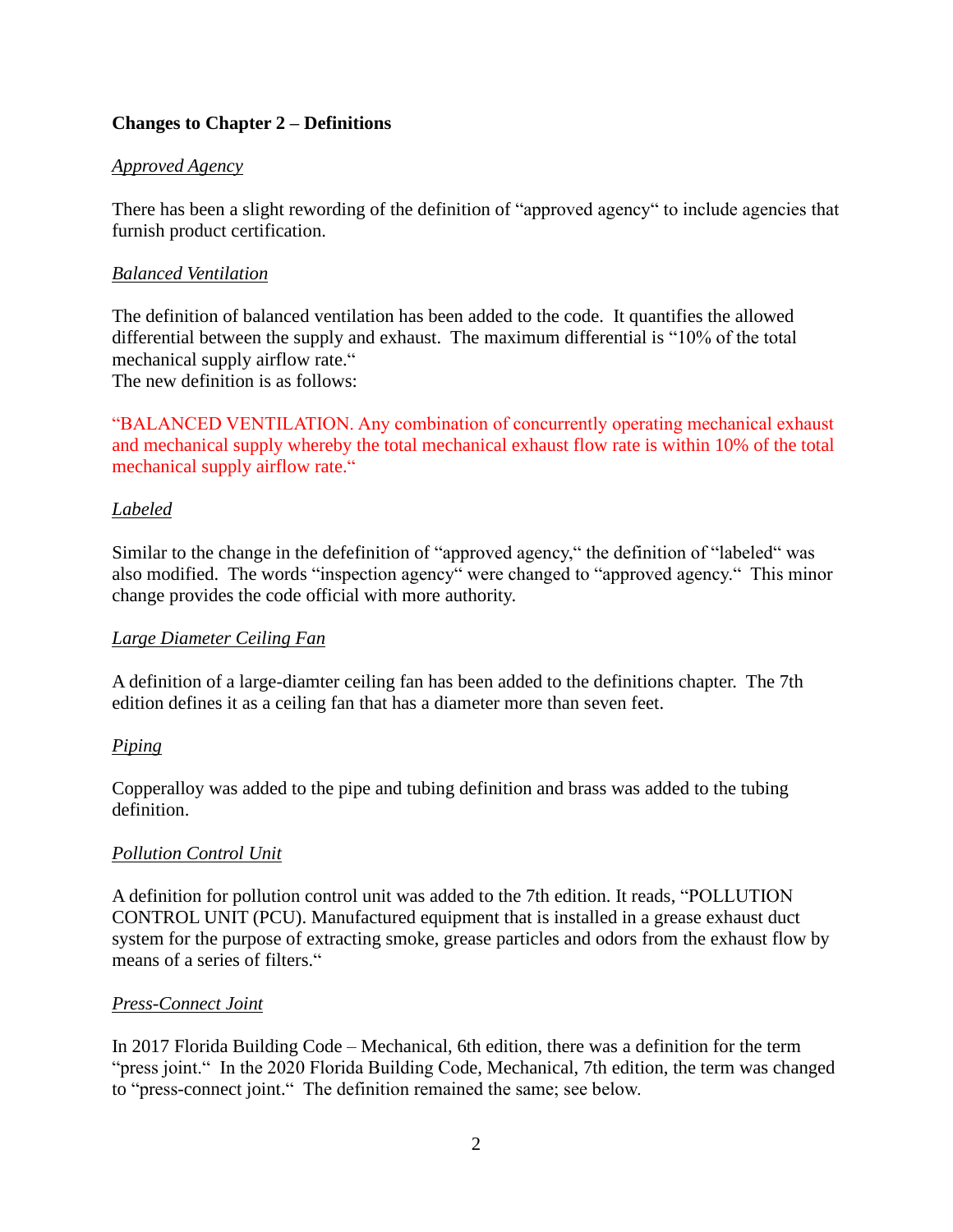#### **Changes to Chapter** 2 – **Definitions**

#### *Approved Agency*

There has been a slight rewording of the definition of "approved agency" to include agencies that furnish product certification.

#### *Balanced Ventilation*

The definition of balanced ventilation has been added to the code. It quantifies the allowed differential between the supply and exhaust. The maximum differential is "10% of the total mechanical supply airflow rate." differential between the supply and exhaust. The maximum differential is  $\degree 10\%$  of the total

The new definition is as follows:

"BALANCED VENTILATION. Any combination of concurrently operating mechanical exhaust and mechanical supply whereby the total mechanical exhaust flow rate is within 10% of the total "BALANCED VENTILATION. Any compared mechanical supply whereby the total<br>mechanical supply airflow rate."

#### *Labeled*

Similar to the change in the deferinition of "approved agency," the definition of "labeled" was also modified. The words "inspection agency" were changed to "approved agency." This minor change provides the code official with more authority.

#### *Large Diameter Ceiling Fan*

A definition of a large-diamter ceiling fan has been added to the definitions chapter. The 7th edition defines it as a ceiling fan that has a diameter more than seven feet.

#### *Piping*

Copperalloy was added to the pipe and tubing definition and brass was added to the tubing definition.

#### *Pollution Control Unit*

A definition for pollution control unit was added to the 7th edition. It reads, "POLLUTION CONTROL UNIT (PCU). Manufactured equipment that is installed in a grease exhaust duct system for the purpose of extracting smoke, grease particles and odors from the exhaust flow by means of a series of filters." system for the purpose of extracting smoke, grease particles and odors from the exhaust flow by means of a series of filters."

#### *Press-Connect Joint*

In 2017 Florida Building Code – Mechanical, 6th edition, there was a definition for the term 7 Florida Building Code – Mechanical, 6th edition, there was a definition for the term<br>joint.'' In the 2020 Florida Building Code, Mechanical, 7th edition, the term was changed In 2017 Florida Building Code – Mechanical, 6th edition, there was a de<br>"press joint." In the 2020 Florida Building Code, Mechanical, 7th edition<br>to "press-connect joint." The definition remained the same; see below.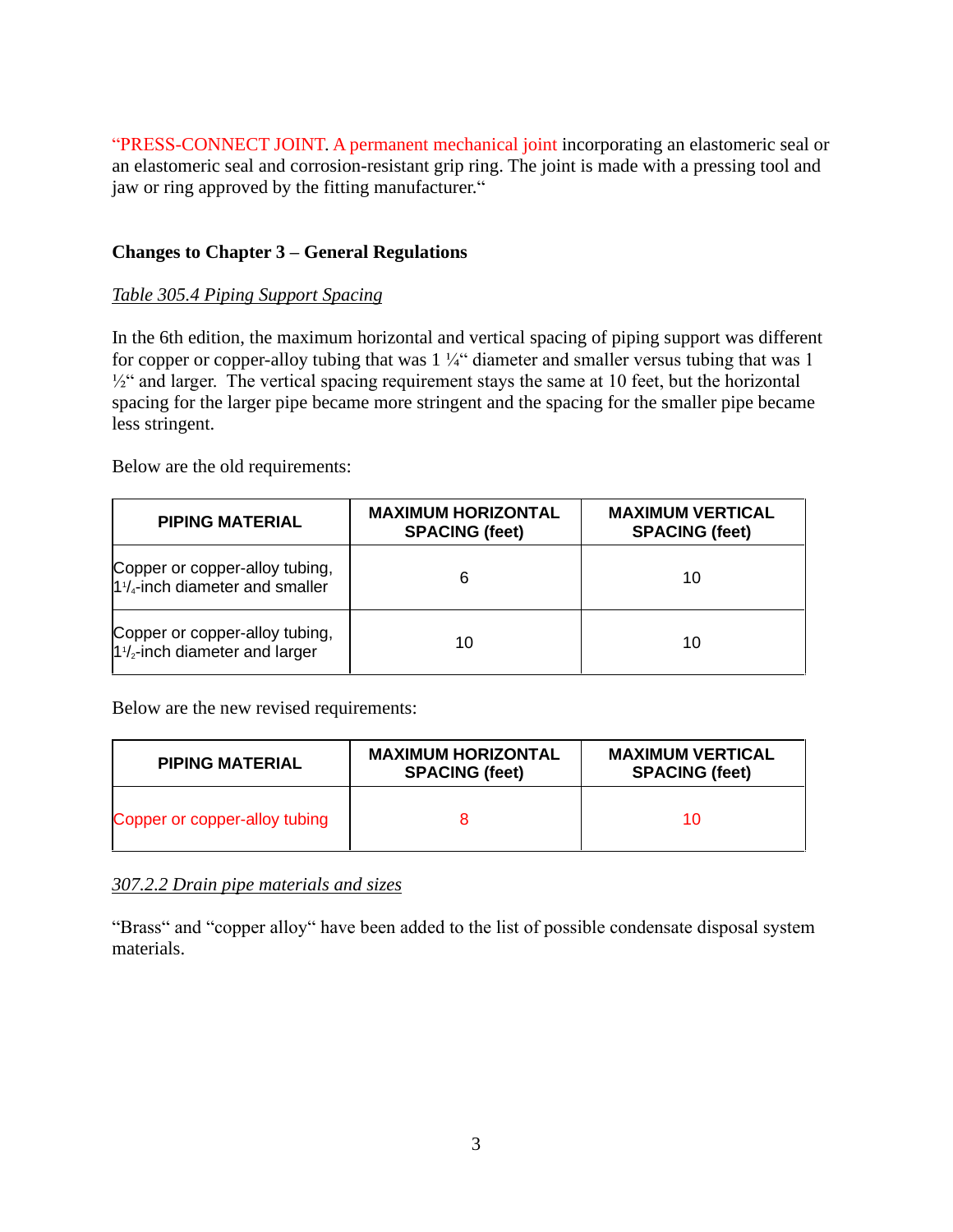"PRESS-CONNECT JOINT. A permanent mechanical joint incorporating an elastomeric seal or<br>an elastomeric seal and corrosion-resistant grip ring. The joint is made with a pressing tool and<br>jaw or ring approved by the fitting an elastomeric seal and corrosion-resistant grip ring. The joint is made with a pressing tool and

### **Changes to Chapter 3** – **General Regulations**

#### *Table 305.4 Piping Support Spacing*

In the 6th edition, the maximum horizontal and vertical spacing of piping support was different In the 6th edition, the maximum horizontal and vertical spacing of piping support was different for copper-alloy tubing that was  $1\frac{1}{4}$  diameter and smaller versus tubing that was 1 he 6th edition, the maximum horizontal and vertical spacing of piping support was different<br>copper or copper-alloy tubing that was  $1\frac{1}{4}$  diameter and smaller versus tubing that was 1<br>and larger. The vertical spacing spacing for the larger pipe became more stringent and the spacing for the smaller pipe became less stringent.

Below are the old requirements:

| <b>PIPING MATERIAL</b>                                                      | <b>MAXIMUM HORIZONTAL</b><br><b>SPACING (feet)</b> | <b>MAXIMUM VERTICAL</b><br><b>SPACING (feet)</b> |
|-----------------------------------------------------------------------------|----------------------------------------------------|--------------------------------------------------|
| Copper or copper-alloy tubing,<br>$1\frac{1}{4}$ -inch diameter and smaller | 6                                                  | 10                                               |
| Copper or copper-alloy tubing,<br>$1\frac{1}{2}$ -inch diameter and larger  | 10                                                 | 10                                               |

Below are the new revised requirements:

| <b>PIPING MATERIAL</b>        | <b>MAXIMUM HORIZONTAL</b><br><b>SPACING (feet)</b> | <b>MAXIMUM VERTICAL</b><br><b>SPACING (feet)</b> |
|-------------------------------|----------------------------------------------------|--------------------------------------------------|
| Copper or copper-alloy tubing |                                                    |                                                  |

#### *307.2.2 Drain pipe materials and sizes*

"Brass" and "copper alloy" have been added to the list of possible condensate disposal system materials.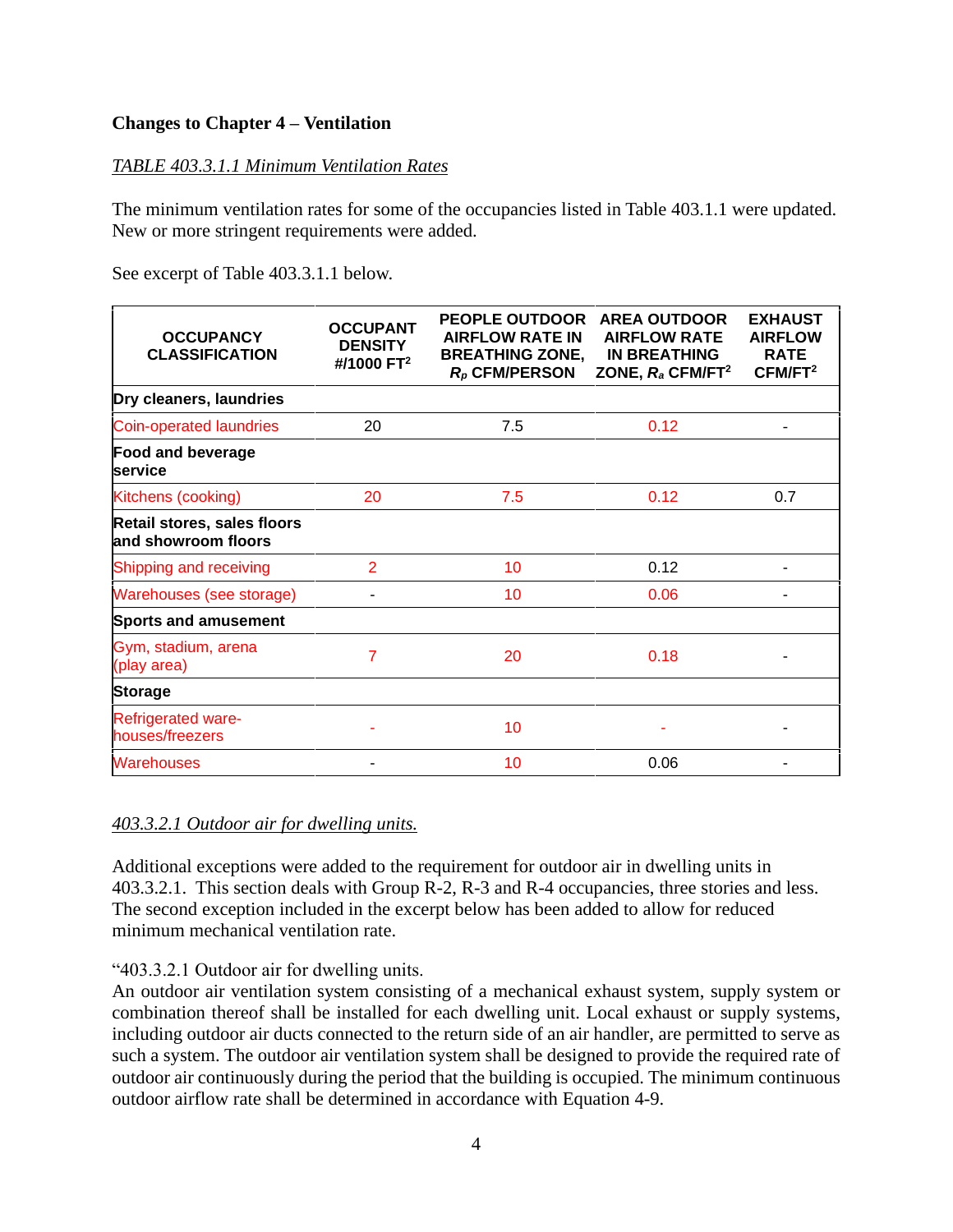#### **Changes to Chapter** 4 – **Ventilation**

#### *TABLE 403.3.1.1 Minimum Ventilation Rates*

The minimum ventilation rates for some of the occupancies listed in Table 403.1.1 were updated. New or more stringent requirements were added.

See excerpt of Table 403.3.1.1 below.

| <b>OCCUPANCY</b><br><b>CLASSIFICATION</b>          | <b>OCCUPANT</b><br><b>DENSITY</b><br>#/1000 FT <sup>2</sup> | <b>PEOPLE OUTDOOR</b><br><b>AIRFLOW RATE IN</b><br><b>BREATHING ZONE,</b><br>$R_p$ CFM/PERSON | <b>AREA OUTDOOR</b><br><b>AIRFLOW RATE</b><br><b>IN BREATHING</b><br>ZONE, $R_a$ CFM/FT <sup>2</sup> | <b>EXHAUST</b><br><b>AIRFLOW</b><br><b>RATE</b><br>CFM/FT <sup>2</sup> |
|----------------------------------------------------|-------------------------------------------------------------|-----------------------------------------------------------------------------------------------|------------------------------------------------------------------------------------------------------|------------------------------------------------------------------------|
| Dry cleaners, laundries                            |                                                             |                                                                                               |                                                                                                      |                                                                        |
| Coin-operated laundries                            | 20                                                          | 7.5                                                                                           | 0.12                                                                                                 |                                                                        |
| <b>Food and beverage</b><br>service                |                                                             |                                                                                               |                                                                                                      |                                                                        |
| Kitchens (cooking)                                 | 20                                                          | 7.5                                                                                           | 0.12                                                                                                 | 0.7                                                                    |
| Retail stores, sales floors<br>and showroom floors |                                                             |                                                                                               |                                                                                                      |                                                                        |
| Shipping and receiving                             | $\overline{2}$                                              | 10                                                                                            | 0.12                                                                                                 |                                                                        |
| Warehouses (see storage)                           |                                                             | 10                                                                                            | 0.06                                                                                                 |                                                                        |
| <b>Sports and amusement</b>                        |                                                             |                                                                                               |                                                                                                      |                                                                        |
| Gym, stadium, arena<br>(play area)                 | 7                                                           | 20                                                                                            | 0.18                                                                                                 |                                                                        |
| <b>Storage</b>                                     |                                                             |                                                                                               |                                                                                                      |                                                                        |
| <b>Refrigerated ware-</b><br>houses/freezers       |                                                             | 10                                                                                            |                                                                                                      |                                                                        |
| <b>Warehouses</b>                                  |                                                             | 10                                                                                            | 0.06                                                                                                 |                                                                        |

#### *403.3.2.1 Outdoor air for dwelling units.*

Additional exceptions were added to the requirement for outdoor air in dwelling units in 403.3.2.1. This section deals with Group R-2, R-3 and R-4 occupancies, three stories and less. The second exception included in the excerpt below has been added to allow for reduced minimum mechanical ventilation rate.<br>
"403.3.2.1 Outdoor air for dwelling units.

An outdoor air ventilation system consisting of a mechanical exhaust system, supply system or combination thereof shall be installed for each dwelling unit. Local exhaust or supply systems, including outdoor air ducts connected to the return side of an air handler, are permitted to serve as such a system. The outdoor air ventilation system shall be designed to provide the required rate of outdoor air continuously during the period that the building is occupied. The minimum continuous outdoor airflow rate shall be determined in accordance with Equation 4-9.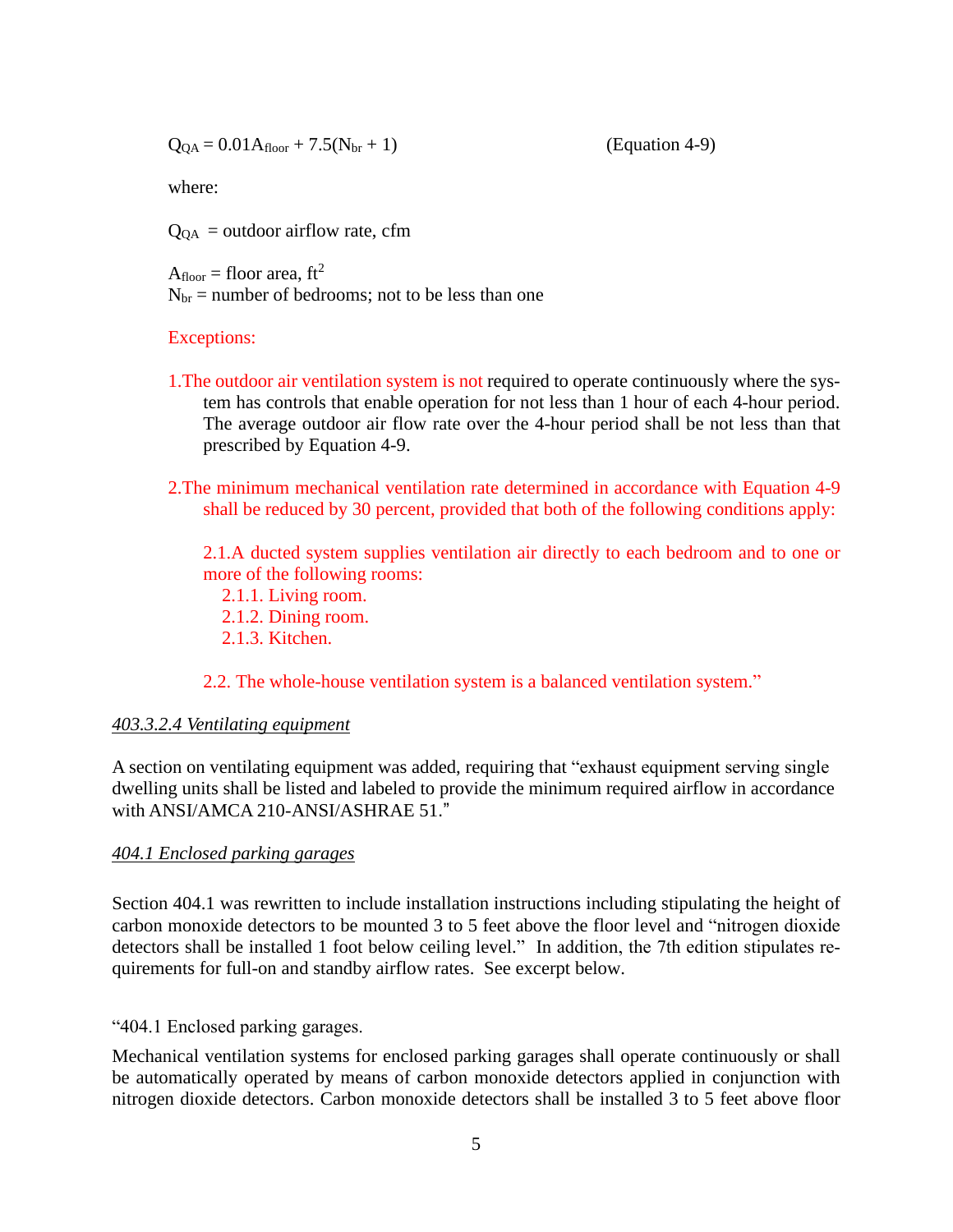$Q_{OA} = 0.01A_{floor} + 7.5(N_{br} + 1)$  (Equation 4-9)

where:

 $Q<sub>QA</sub> = outdoor airflow rate, cfm$ 

 $A_{floor}$  = floor area, ft<sup>2</sup>  $N<sub>br</sub>$  = number of bedrooms; not to be less than one

#### Exceptions:

- 1.The outdoor air ventilation system is not required to operate continuously where the system has controls that enable operation for not less than 1 hour of each 4-hour period. The average outdoor air flow rate over the 4-hour period shall be not less than that prescribed by Equation 4-9.<br>2.The minimum mechanical ventilation rate determined in accordance with Equation 4-9
- shall be reduced by 30 percent, provided that both of the following conditions apply:

2.1.A ducted system supplies ventilation air directly to each bedroom and to one or more of the following rooms:

- 2.1.1. Living room.
- 2.1.2. Dining room.
- 2.1.3. Kitchen.

2.2. The whole-house ventilation system is a balanced ventilation system."

#### *403.3.2.4 Ventilating equipment*

A section on ventilating equipment was added, requiring that "exhaust equipment serving single" dwelling units shall be listed and labeled to provide the minimum required airflow in accordance A section on ventilating equipment was added, request dwelling units shall be listed and labeled to provide with ANSI/AMCA 210-ANSI/ASHRAE 51.<sup>"</sup>

#### *404.1 Enclosed parking garages*

Section 404.1 was rewritten to include installation instructions including stipulating the height of Section 404.1 was rewritten to include installation instructions including stipulating the height of<br>carbon monoxide detectors to be mounted 3 to 5 feet above the floor level and "nitrogen dioxide carbon monoxide detectors to be mounted 3 to 5 feet above the floor level and "nitrogen dioxide detectors shall be installed 1 foot below ceiling level." In addition, the 7th edition stipulates requirements for full-on and standby airflow rates. See excerpt below.

"404.1 Enclosed parking garages.

Mechanical ventilation systems for enclosed parking garages shall operate continuously or shall be automatically operated by means of carbon monoxide detectors applied in conjunction with nitrogen dioxide detectors. Carbon monoxide detectors shall be installed 3 to 5 feet above floor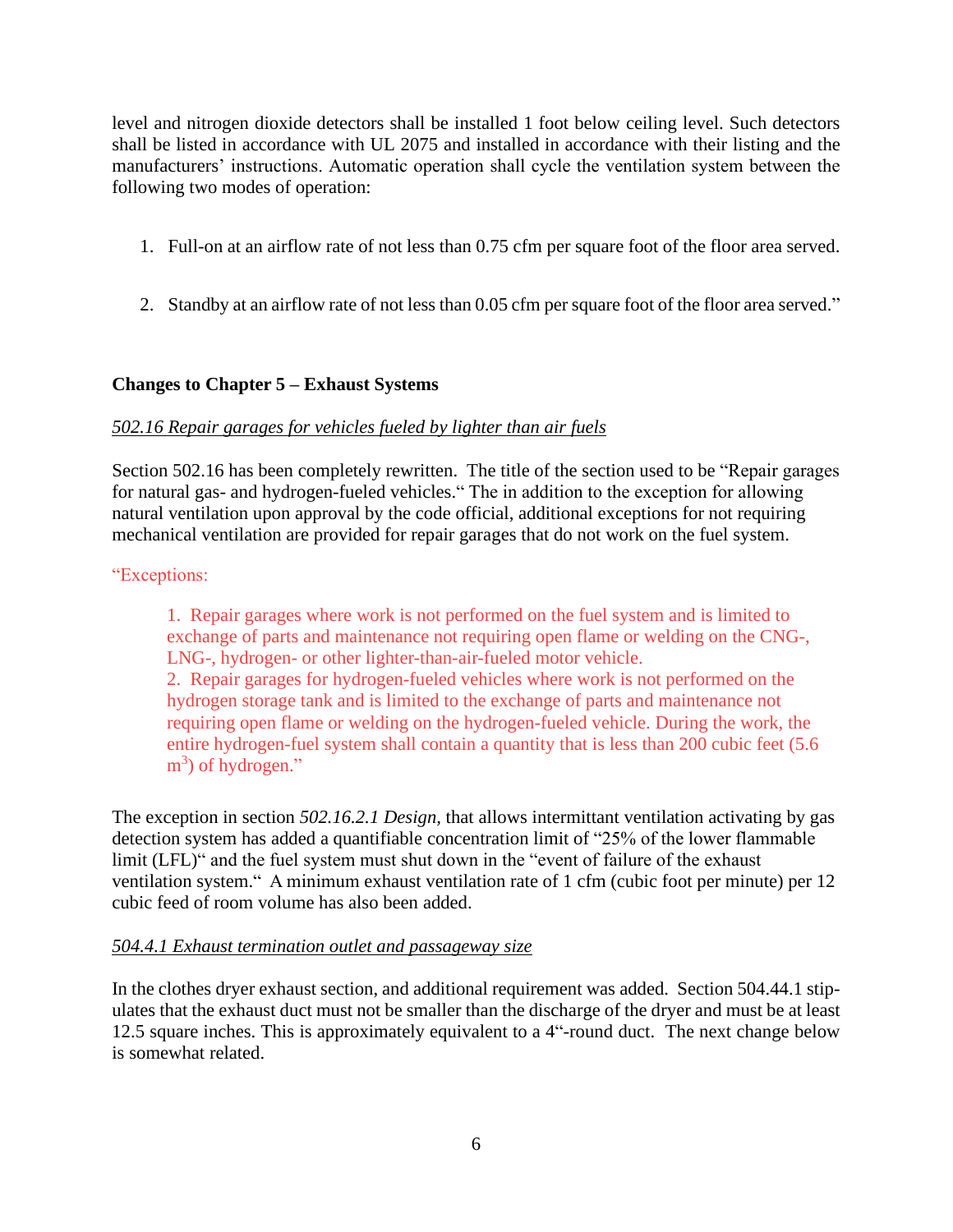level and nitrogen dioxide detectors shall be installed 1 foot below ceiling level. Such detectors shall be listed in accordance with UL 2075 and installed in accordance with their listing and the level and nitrogen dioxide detectors shall be installed 1 foot below ceiling level. Such detectors shall be listed in accordance with UL 2075 and installed in accordance with their listing and the manufacturers' instructio following two modes of operation:

- 1. Full-on at an airflow rate of not less than 0.75 cfm per square foot of the floor area served.
- 2. Standby at an airflow rate of not less than 0.05 cfm per square foot of the floor area served."

#### **Changes to Chapter <sup>5</sup> <sup>ñ</sup> Exhaust Systems**

#### *502.16 Repair garages for vehicles fueled by lighter than air fuels*

Section 502.16 has been completely rewritten. The title of the section used to be "Repair garages" for natural gas- and hydrogen-fueled vehicles." The in addition to the exception for allowing natural ventilation upon approval by the code official, additional exceptions for not requiring mechanical ventilation are provided for repair garages that do not work on the fuel system.

#### "Exceptions:

1. Repair garages where work is not performed on the fuel system and is limited to exchange of parts and maintenance not requiring open flame or welding on the CNG-, LNG-, hydrogen- or other lighter-than-air-fueled motor vehicle.

2. Repair garages for hydrogen-fueled vehicles where work is not performed on the hydrogen storage tank and is limited to the exchange of parts and maintenance not requiring open flame or welding on the hydrogen-fueled vehicle. During the work, the entire hydrogen-fuel system shall contain a quantity that is less than 200 cubic feet (5.6  $m<sup>3</sup>$ ) of hydrogen." quiring open flame or w<br>
ire hydrogen-fuel syste<br>
) of hydrogen."

The exception in section *502.16.2.1 Design,* that allows intermittant ventilation activating by gas The exception in section 502.16.2.1 Design, that allows intermittant ventilation activating by gas<br>detection system has added a quantifiable concentration limit of "25% of the lower flammable The exception in section 502.16.2.1 Design, that allows intermittant ventilation activating by detection system has added a quantifiable concentration limit of "25% of the lower flammat limit (LFL)" and the fuel system mus detection system has added a quantifiable concentration limit of "25% of the lower flammable<br>limit (LFL)" and the fuel system must shut down in the "event of failure of the exhaust<br>ventilation system." A minimum exhaust ve cubic feed of room volume has also been added.

#### *504.4.1 Exhaust termination outlet and passageway size*

In the clothes dryer exhaust section, and additional requirement was added. Section 504.44.1 stip ulates that the exhaust duct must not be smaller than the discharge of the dryer and must be at least 12.5 square inches. This is approximately equivalent to a 4"-round duct. The next change below is somewhat related.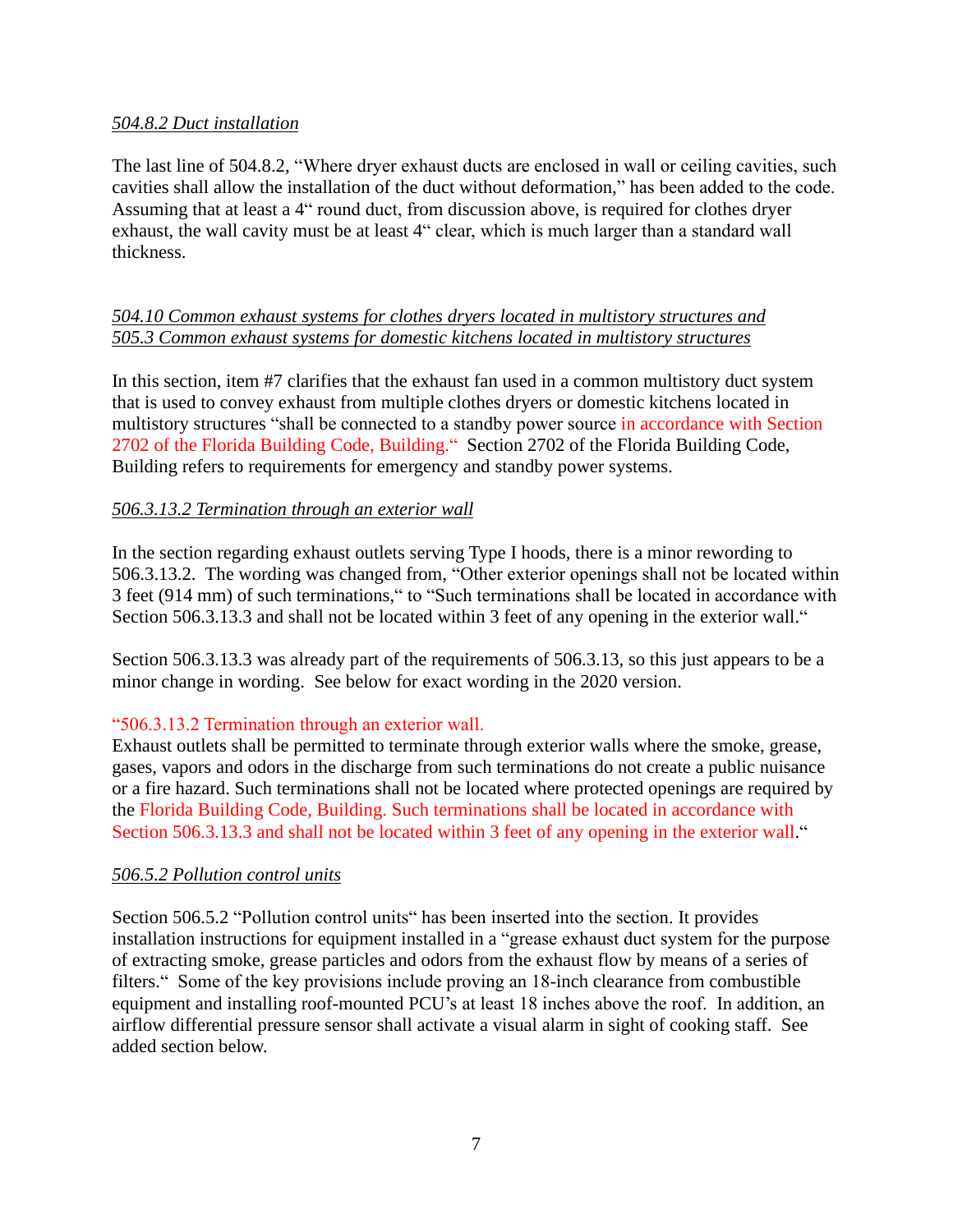#### *504.8.2 Duct installation*

The last line of 504.8.2, "Where dryer exhaust ducts are enclosed in wall or ceiling cavities, such The last line of 504.8.2, "Where dryer exhaust ducts are enclosed in wall or ceiling cavities, such<br>cavities shall allow the installation of the duct without deformation," has been added to the code. The last line of 504.8.2, "Where dryer exhaust ducts are enclosed in wall or ceiling cavities, such cavities shall allow the installation of the duct without deformation," has been added to the code.<br>Assuming that at least Assuming that at least a 4<sup>\*</sup> round duct, from discussion above, is required for clothes dryer exhaust, the wall cavity must be at least 4<sup>\*</sup> clear, which is much larger than a standard wall thickness.

#### *504.10 Common exhaust systems for clothes dryers located in multistory structures and 505.3 Common exhaust systems for domestic kitchens located in multistory structures*

In this section, item #7 clarifies that the exhaust fan used in a common multistory duct system that is used to convey exhaust from multiple clothes dryers or domestic kitchens located in In this section, item #7 clarifies that the exhaust fan used in a common multistory duct system<br>that is used to convey exhaust from multiple clothes dryers or domestic kitchens located in<br>multistory structures "shall be co that is used to convey exhaust from multiple clothes dryers or domestic kitchens located in<br>multistory structures "shall be connected to a standby power source in accordance with Section<br>2702 of the Florida Building Code, Building refers to requirements for emergency and standby power systems.

#### *506.3.13.2 Termination through an exterior wall*

In the section regarding exhaust outlets serving Type I hoods, there is a minor rewording to In the section regarding exhaust outlets serving Type I hoods, there is a minor rewording to<br>506.3.13.2. The wording was changed from, "Other exterior openings shall not be located within In the section regarding exhaust outlets serving Type I hoods, there is a minor rewording to<br>506.3.13.2. The wording was changed from, "Other exterior openings shall not be located within<br>3 feet (914 mm) of such terminatio 506.3.13.2. The wording was changed from, "Other exterior openings shall not be located within 3 feet (914 mm) of such terminations," to "Such terminations shall be located in accordance with Section 506.3.13.3 and shall n

Section 506.3.13.3 was already part of the requirements of 506.3.13, so this just appears to be a minor change in wording. See below for exact wording in the 2020 version.<br>"506.3.13.2 Termination through an exterior wall.

Exhaust outlets shall be permitted to terminate through exterior walls where the smoke, grease, gases, vapors and odors in the discharge from such terminations do not create a public nuisance or a fire hazard. Such terminations shall not be located where protected openings are required by<br>the Florida Building Code, Building. Such terminations shall be located in accordance with<br>Section 506.3.13.3 and shall not the Florida Building Code, Building. Such terminations shall be located in accordance with

#### *506.5.2 Pollution control units*

Section 506.5.2 "Pollution control units" has been inserted into the section. It provides installation instructions for equipment installed in a "grease exhaust duct system for the purpose of extracting smoke, grease particles and odors from the exhaust flow by means of a series of installation instructions for equipment installed in a "grease exhaust duct system for the purpose<br>of extracting smoke, grease particles and odors from the exhaust flow by means of a series of<br>filters." Some of the key pro of extracting smoke, grease particles and odors from the exhaust flow by means of a series of<br>filters." Some of the key provisions include proving an 18-inch clearance from combustible<br>equipment and installing roof-mounted airflow differential pressure sensor shall activate a visual alarm in sight of cooking staff. See added section below.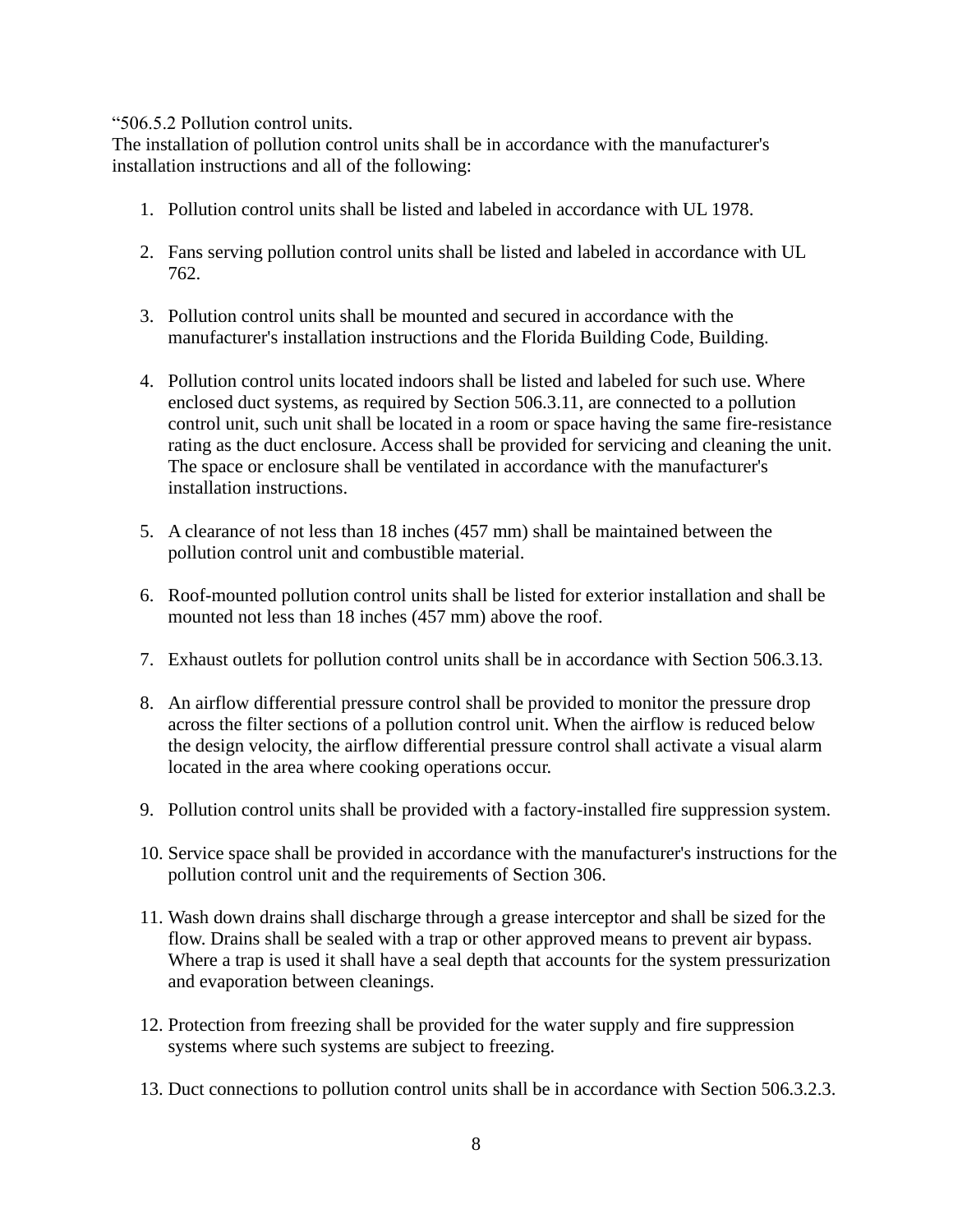"506.5.2 Pollution control units.

The installation of pollution control units shall be in accordance with the manufacturer's installation instructions and all of the following:

- 1. Pollution control units shall be listed and labeled in accordance with UL 1978.
- 2. Fans serving pollution control units shall be listed and labeled in accordance with UL 762.
- 3. Pollution control units shall be mounted and secured in accordance with the manufacturer's installation instructions and the Florida Building Code, Building.
- 4. Pollution control units located indoors shall be listed and labeled for such use.Where enclosed duct systems, as required by Section 506.3.11, are connected to a pollution control unit, such unit shall be located in a room or space having the same fire-resistance rating as the duct enclosure. Access shall be provided for servicing and cleaning the unit. The space or enclosure shall be ventilated in accordance with the manufacturer's installation instructions.
- 5. A clearance of not less than 18 inches (457 mm) shall be maintained between the pollution control unit and combustible material.
- 6. Roof-mounted pollution control units shall be listed for exterior installation and shall be mounted not less than 18 inches (457 mm) above the roof.
- 7. Exhaust outlets for pollution control units shall be in accordance with Section 506.3.13.
- 8. An airflow differential pressure control shall be provided to monitor the pressure drop across the filter sections of a pollution control unit. When the airflow is reduced below the design velocity, the airflow differential pressure control shall activate a visual alarm located in the area where cooking operations occur.
- 9. Pollution control units shall be provided with a factory-installed fire suppression system.
- 10. Service space shall be provided in accordance with the manufacturer's instructions for the pollution control unit and the requirements of Section 306.
- 11. Wash down drains shall discharge through a grease interceptor and shall be sized for the flow. Drains shall be sealed with a trap or other approved means to prevent air bypass. Where a trap is used it shall have a seal depth that accounts for the system pressurization and evaporation between cleanings.
- 12. Protection from freezing shall be provided for the water supply and fire suppression systems where such systems are subject to freezing.
- 13. Duct connections to pollution control units shall be in accordance with Section 506.3.2.3.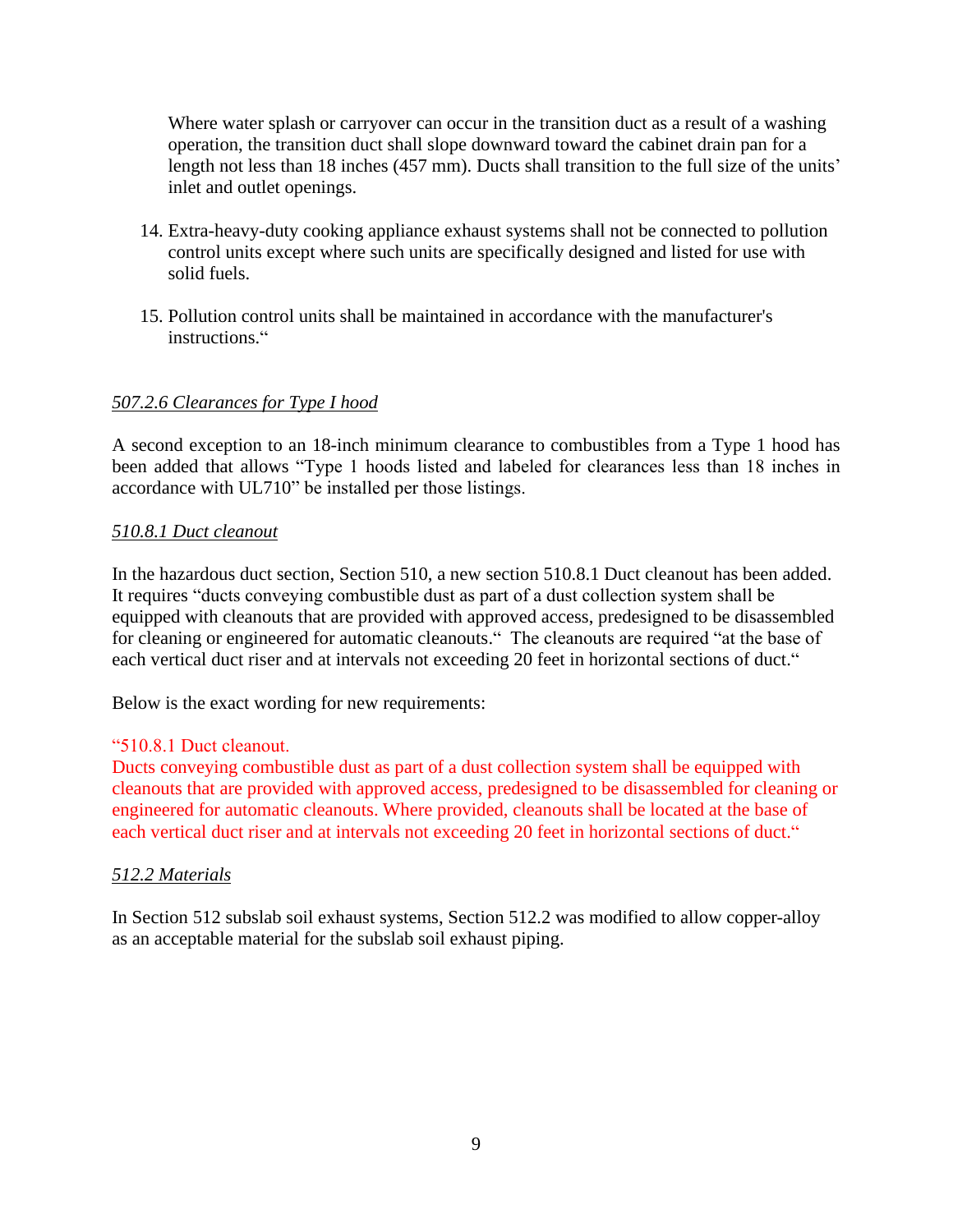Where water splash or carryover can occur in the transition duct as a result of a washing operation, the transition duct shall slope downward toward the cabinet drain pan for a length not less than 18 inches (457 mm). Ducts shall transition to the full size of the units<sup>7</sup> inlet and outlet openings.

- 14. Extra-heavy-duty cooking appliance exhaust systems shall not be connected to pollution control units except where such units are specifically designed and listed for use with solid fuels.
- 15. Pollution control units shall be maintained in accordance with the manufacturer's Pollution control unit<br>instructions."

#### *507.2.6 Clearances for Type I hood*

A second exception to an 18-inch minimum clearance to combustibles from a Type 1 hood has A second exception to an 18-inch minimum clearance to combustibles from a Type 1 hood has<br>been added that allows "Type 1 hoods listed and labeled for clearances less than 18 inches in A second exception to an 18-inch minimum clearance to c<br>been added that allows "Type 1 hoods listed and labeled<br>accordance with UL710" be installed per those listings.

#### *510.8.1 Duct cleanout*

In the hazardous duct section, Section 510, a new section 510.8.1 Duct cleanout has been added. In the hazardous duct section, Section 510, a new section 510.8.1 Duct cleanout has been added.<br>It requires "ducts conveying combustible dust as part of a dust collection system shall be equipped with cleanouts that are provided with approved access, predesigned to be disassembled It requires "ducts conveying combustible dust as part of a dust collection system shall be<br>equipped with cleanouts that are provided with approved access, predesigned to be disassembled<br>for cleaning or engineered for autom equipped with cleanouts that are provided with approved access, predesigned to be disassembled<br>for cleaning or engineered for automatic cleanouts.<sup>14</sup> The cleanouts are required "at the base of<br>each vertical duct riser and

Below is the exact wording for new requirements:<br>"510.8.1 Duct cleanout.

Ducts conveying combustible dust as part of a dust collection system shall be equipped with cleanouts that are provided with approved access, predesigned to be disassembled for cleaning or<br>engineered for automatic cleanouts. Where provided, cleanouts shall be located at the base of<br>each vertical duct riser and at engineered for automatic cleanouts. Where provided, cleanouts shall be located at the base of

#### *512.2 Materials*

In Section 512 subslab soil exhaust systems, Section 512.2 was modified to allow copper-alloy as an acceptable material for the subslab soil exhaust piping.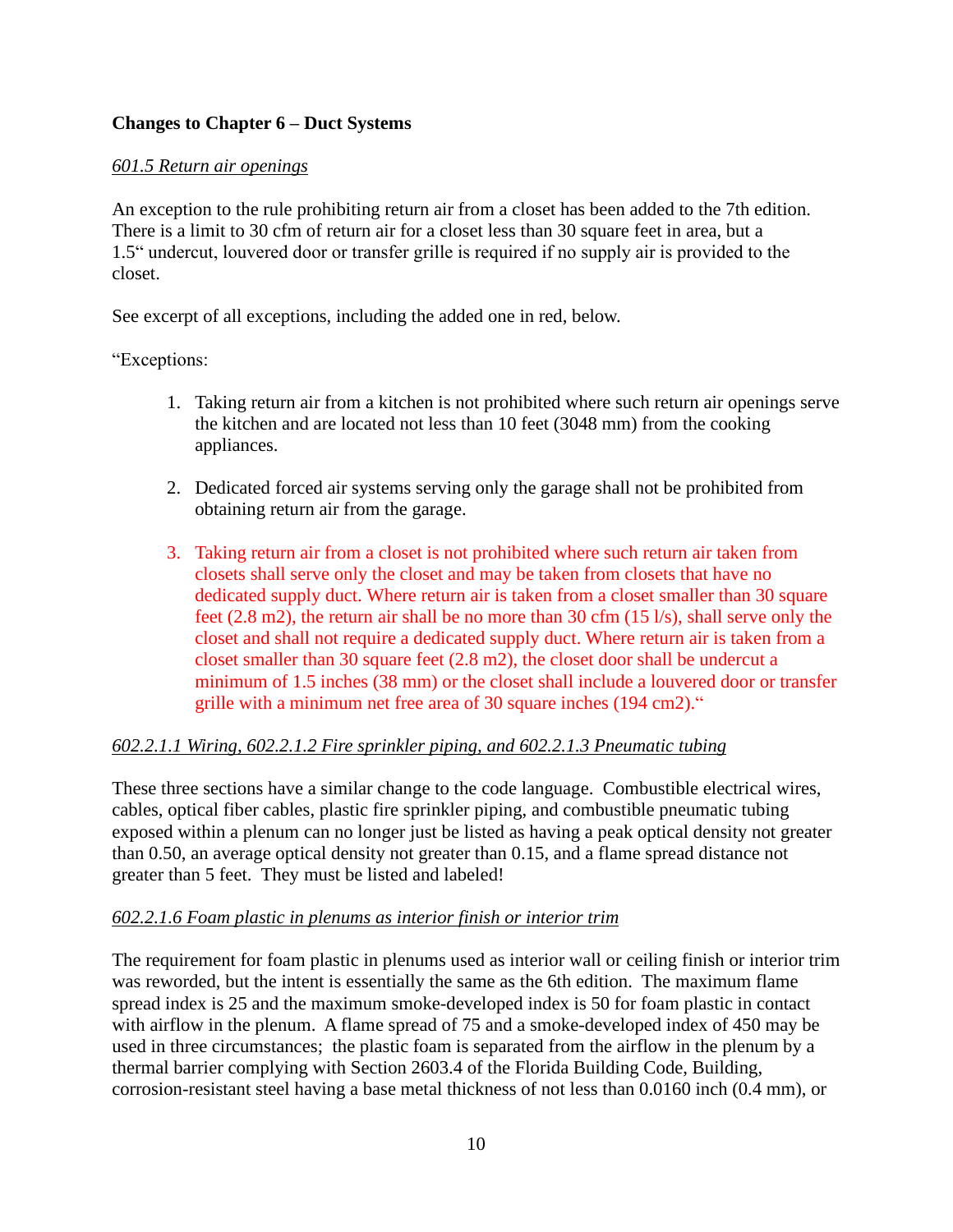### **Changes to Chapter <sup>6</sup> <sup>ñ</sup> Duct Systems**

#### *601.5 Return air openings*

An exception to the rule prohibiting return air from a closet has been added to the 7th edition.<br>There is a limit to 30 cfm of return air for a closet less than 30 square feet in area, but a<br>1.5<sup>\*</sup> undercut, louvered door There is a limit to 30 cfm of return air for a closet less than 30 square feet in area, but a closet.

See excerpt of all exceptions, including the added one in red, below.

"Exceptions:

- 1. Taking return air from a kitchen is not prohibited where such return air openings serve the kitchen and are located not less than 10 feet (3048 mm) from the cooking appliances.
- 2. Dedicated forced air systems serving only the garage shall not be prohibited from obtaining return air from the garage.
- 3. Taking return air from a closet is not prohibited where such return air taken from closets shall serve only the closet and may be taken from closets that have no dedicated supply duct. Where return air is taken from a closet smaller than 30 square feet  $(2.8 \text{ m2})$ , the return air shall be no more than 30 cfm  $(15 \text{ l/s})$ , shall serve only the closet and shall not require a dedicated supply duct. Where return air is taken from a closet smaller than 30 square feet (2.8 m2), the closet door shall be undercut a minimum of 1.5 inches (38 mm) or the closet shall include a louvered door or transfer grille with a minimum net free area of 30 square inches (194 cm2)."

#### *602.2.1.1 Wiring, 602.2.1.2 Fire sprinkler piping, and 602.2.1.3 Pneumatic tubing*

These three sections have a similar change to the code language. Combustible electrical wires, cables, optical fiber cables, plastic fire sprinkler piping, and combustible pneumatic tubing exposed within a plenum can no longer just be listed as having a peak optical density not greater than 0.50, an average optical density not greater than 0.15, and a flame spread distance not greater than 5 feet. They must be listed and labeled!

#### *602.2.1.6 Foam plastic in plenums as interior finish or interior trim*

The requirement for foam plastic in plenums used as interior wall or ceiling finish or interior trim was reworded, but the intent is essentially the same as the 6th edition. The maximum flame spread index is 25 and the maximum smoke-developed index is 50 for foam plastic in contact with airflow in the plenum. A flame spread of 75 and a smoke-developed index of 450 may be used in three circumstances; the plastic foam is separated from the airflow in the plenum by a thermal barrier complying with Section 2603.4 of the Florida Building Code, Building, corrosion-resistant steel having a base metal thickness of not less than 0.0160 inch (0.4 mm), or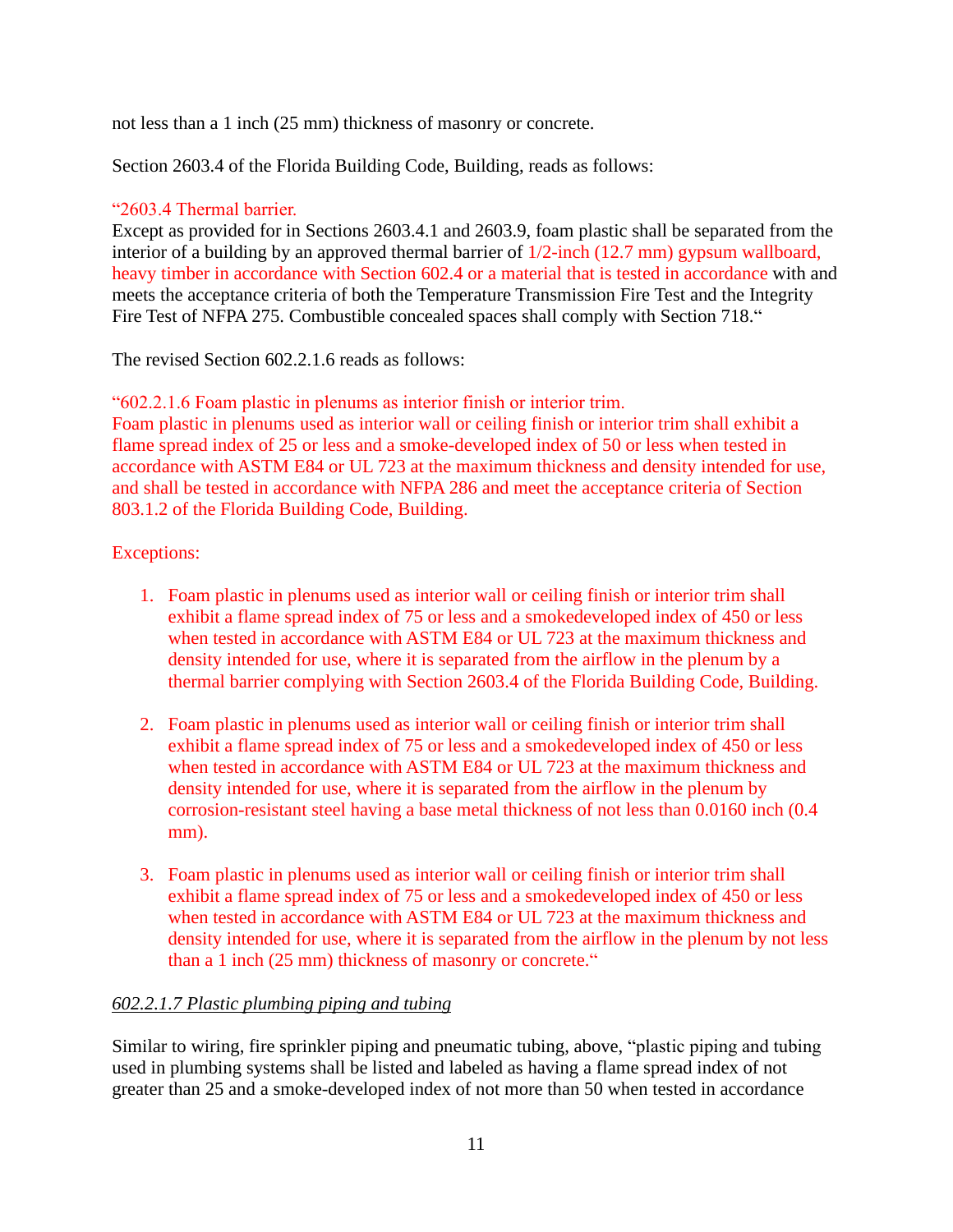not less than a 1 inch (25 mm) thickness of masonry or concrete.

Section 2603.4 of the Florida Building Code, Building, reads as follows:<br>"2603.4 Thermal barrier.

Except as provided for in Sections 2603.4.1 and 2603.9, foam plastic shall be separated from the interior of a building by an approved thermal barrier of 1/2-inch (12.7 mm) gypsum wallboard, heavy timber in accordance with Section 602.4 or a material that is tested in accordance with and meets the acceptance criteria of both the Temperature Transmission Fire Test and the Integrity heavy timber in accordance with Section 602.4 or a material that is tested in accordance with a<br>meets the acceptance criteria of both the Temperature Transmission Fire Test and the Integrity<br>Fire Test of NFPA 275. Combusti

The revised Section  $602.2.1.6$  reads as follows:

"602.2.1.6 Foam plastic in plenums as interior finish or interior trim.

Foam plastic in plenums used as interior wall or ceiling finish or interior trim shall exhibit a flame spread index of 25 or less and a smoke-developed index of 50 or less when tested in accordance with ASTM E84 or UL 723 at the maximum thickness and density intended for use, and shall be tested in accordance with NFPA 286 and meet the acceptance criteria of Section 803.1.2 of the Florida Building Code, Building.

### Exceptions:

- 1. Foam plastic in plenums used as interior wall or ceiling finish or interior trim shall exhibit a flame spread index of 75 or less and a smokedeveloped index of 450 or less when tested in accordance with ASTM E84 or UL 723 at the maximum thickness and density intended for use, where it is separated from the airflow in the plenum by a thermal barrier complying with Section 2603.4 of the Florida Building Code, Building.
- 2. Foam plastic in plenums used as interior wall or ceiling finish or interior trim shall exhibit a flame spread index of 75 or less and a smokedeveloped index of 450 or less when tested in accordance with ASTM E84 or UL 723 at the maximum thickness and density intended for use, where it is separated from the airflow in the plenum by corrosion-resistant steel having a base metal thickness of not less than 0.0160 inch (0.4 mm).
- 3. Foam plastic in plenums used as interior wall or ceiling finish or interior trim shall exhibit a flame spread index of 75 or less and a smokedeveloped index of 450 or less when tested in accordance with ASTM E84 or UL 723 at the maximum thickness and density intended for use, where it is separated from the airflow in the plenum by not less than a 1 inch (25 mm) thickness of masonry or concre density intended for use, where it is separated from the airflow in the plenum by not less

### *602.2.1.7 Plastic plumbing piping and tubing*

Similar to wiring, fire sprinkler piping and pneumatic tubing, above, "plastic piping and tubing used in plumbing systems shall be listed and labeled as having a flame spread index of not greater than 25 and a smoke-developed index of not more than 50 when tested in accordance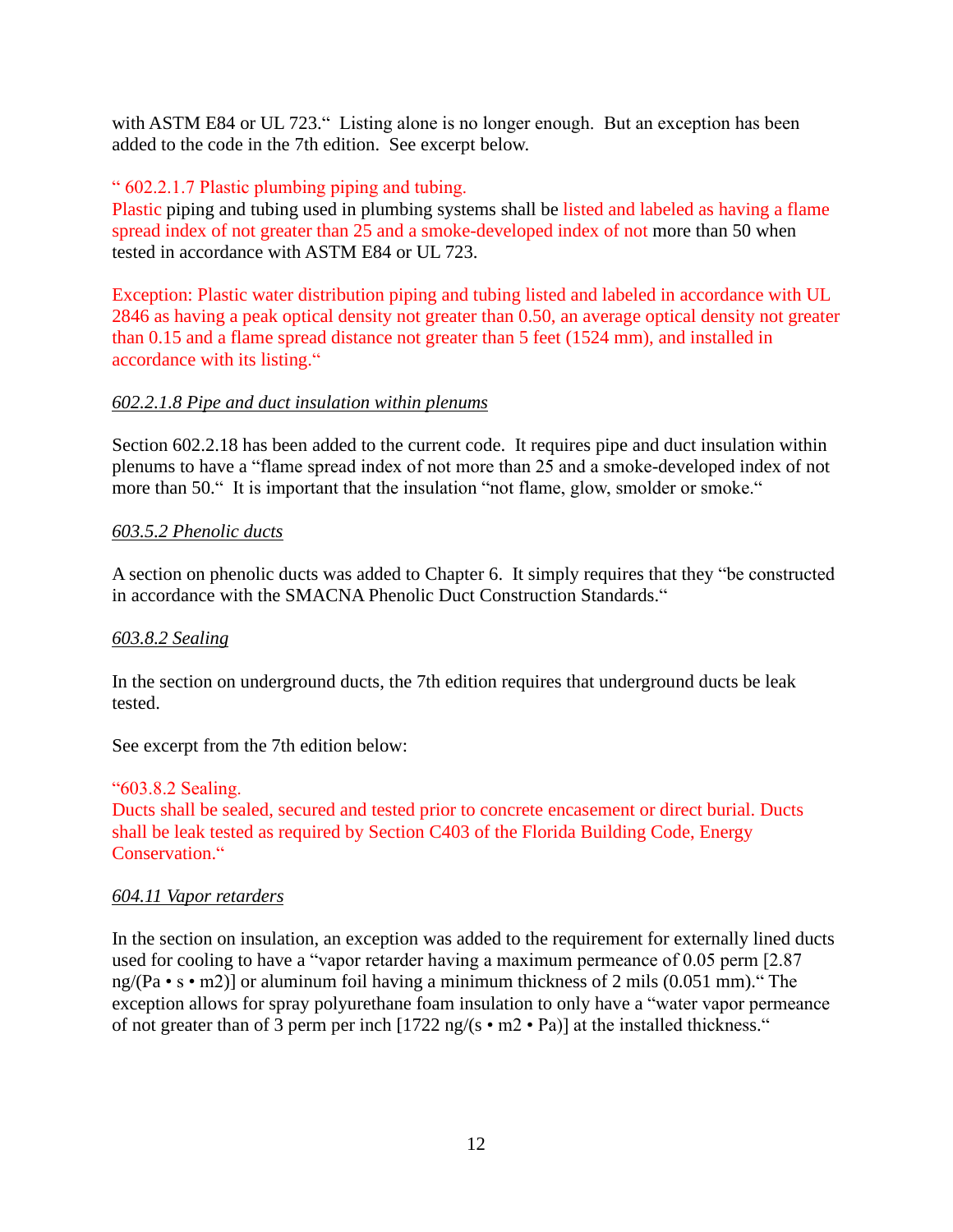with ASTM E84 or UL 723." Listing alone is no longer enough. But an exception has been added to the code in the 7th edition. See excerpt below.<br>"602.2.1.7 Plastic plumbing piping and tubing.

Plastic piping and tubing used in plumbing systems shall be listed and labeled as having a flame spread index of not greater than 25 and a smoke-developed index of not more than 50 when tested in accordance with ASTM E84 or UL 723.

Exception: Plastic water distribution piping and tubing listed and labeled in accordance with UL 2846 as having a peak optical density not greater than 0.50, an average optical density not greater than 0.15 and a flame spread distance not greater than 5 feet (1524 mm), and installed in accordance with its listing." than 0.15 and a flame spread distance not greater than 5 feet (1524 mm), and installed in

#### *602.2.1.8 Pipe and duct insulation within plenums*

Section 602.2.18 has been added to the current code. It requires pipe and duct insulation within Section 602.2.18 has been added to the current code. It requires pipe and duct insulation within<br>plenums to have a "flame spread index of not more than 25 and a smoke-developed index of not Section 602.2.18 has been added to the current code. It requires pipe and duct insulation within plenums to have a "flame spread index of not more than 25 and a smoke-developed index of no more than 50." It is important th

#### *603.5.2 Phenolic ducts*

603.5.2 Phenolic ducts<br>A section on phenolic ducts was added to Chapter 6. It simply requires that they "be constructed A section on phenolic ducts was added to Chapter 6. It simply requires that they "<br>in accordance with the SMACNA Phenolic Duct Construction Standards."

#### *603.8.2 Sealing*

In the section on underground ducts, the 7th edition requires that underground ducts be leak tested.

See excerpt from the 7th edition below:<br>"603.8.2 Sealing.

Ducts shall be sealed, secured and tested prior to concrete encasement or direct burial. Ducts shall be leak tested as required by Section C403 of the Florida Building Code, Energy Ducts shall be sealed, s<br>shall be leak tested as r<br>Conservation."

#### *604.11 Vapor retarders*

In the section on insulation, an exception was added to the requirement for externally lined ducts used for cooling to have a "vapor retarder having a maximum permeance of  $0.05$  perm [2.87] In the section on insulation, an exception was added to the requirement for externally lined ducts used for cooling to have a "vapor retarder having a maximum permeance of 0.05 perm [2.87 ng/(Pa • s • m2)] or aluminum foi exception allows for spray polyurethane foam insulation to only have a "water vapor permeance" ng/(Pa • s • m2)] or aluminum foil having a minimum thickness of 2 mils (0.051 mm).<sup>43</sup><br>exception allows for spray polyurethane foam insulation to only have a "water vapor per<br>of not greater than of 3 perm per inch [1722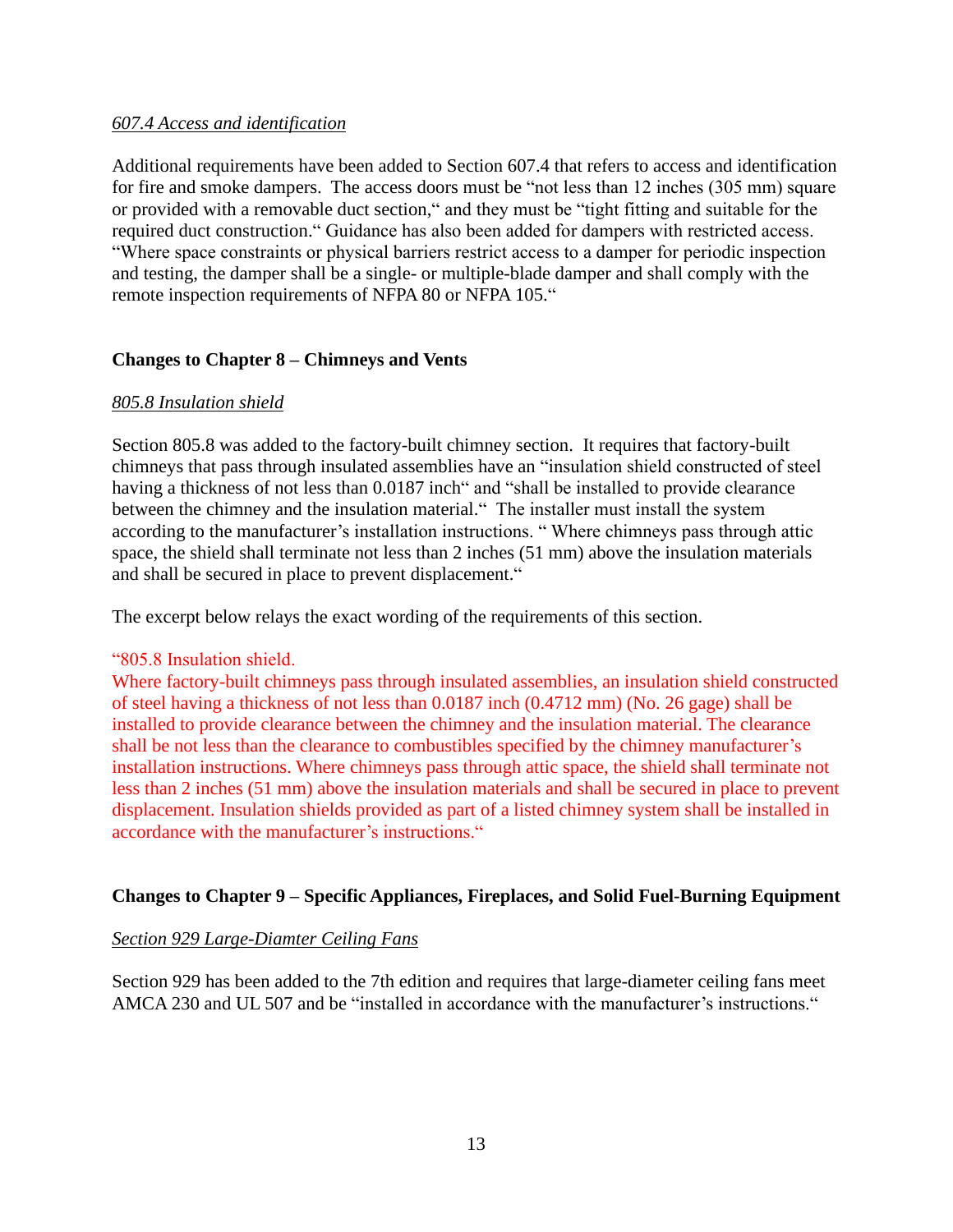#### *607.4 Access and identification*

Additional requirements have been added to Section 607.4 that refers to access and identification for fire and smoke dampers. The access doors must be "not less than  $12$  inches (305 mm) square Additional requirements have been added to Section 607.4 that refers to access and identification<br>for fire and smoke dampers. The access doors must be "not less than 12 inches (305 mm) square<br>or provided with a removable d for fire and smoke dampers. The access doors must be "not less than 12 inches (305 mm) square<br>or provided with a removable duct section," and they must be "tight fitting and suitable for the<br>required duct construction." Gu ded with a removable duct section," and they must be "tight fitting and suitable for the<br>duct construction." Guidance has also been added for dampers with restricted access.<br>space constraints or physical barriers restrict and testing, the damper shall be a single- or multiple-blade damper and shall comply with the "Where space constraints or physical barriers restrict access to a damper for periodic inspection and testing, the damper shall be a single- or multiple-blade damper and shall comply with the remote inspection requirements

#### **Changes to Chapter <sup>8</sup> <sup>ñ</sup> Chimneys and Vents**

#### *805.8 Insulation shield*

Section 805.8 was added to the factory-built chimney section. It requires that factory-built chimneys that pass through insulated assemblies have an "insulation shield constructed of steel Section 805.8 was added to the factory-built chimney section. It requires that factory-built<br>chimneys that pass through insulated assemblies have an "insulation shield constructed of steel<br>having a thickness of not less th chimneys that pass through insulated assemblies have an "insulation shield constructed of steel<br>having a thickness of not less than 0.0187 inch" and "shall be installed to provide clearance<br>between the chimney and the insu having a thickness of not less than 0.0187 inch" and "shall be installed to provide clearance<br>between the chimney and the insulation material." The installer must install the system<br>according to the manufacturer's installa space, the shield shall terminate not less than 2 inches (51 mm) above the insulation materials according to the manufacturer's installation instructions. "When space, the shield shall terminate not less than 2 inches (51 mm) and shall be secured in place to prevent displacement."

The excerpt below relays the exact wording of the requirements of this section.<br>
"805.8 Insulation shield.

Where factory-built chimneys pass through insulated assemblies, an insulation shield constructed of steel having a thickness of not less than 0.0187 inch (0.4712 mm) (No. 26 gage) shall be installed to provide clearance between the chimney and the insulation material. The clearance of steel having a thickness of not less than 0.0187 inch (0.4712 mm) (No. 26 gage) shall be installed to provide clearance between the chimney and the insulation material. The clearance shall be not less than the clearance installation instructions. Where chimneys pass through attic space, the shield shall terminate not less than 2 inches (51 mm) above the insulation materials and shall be secured in place to prevent displacement. Insulation shields provided as part of a listed chimney system shall be installed in accordance with the manu displacement. Insulation shields provided as part of a listed chimney system shall be installed in

#### **Changes** to Chapter 9 – Specific Appliances, Fireplaces, and Solid Fuel-Burning Equipment

#### *Section 929 Large-Diamter Ceiling Fans*

Section 929 has been added to the 7th edition and requires that large-diameter ceiling fans meet Section 929 has been added to the 7th edition and requires that large-diameter ceiling fans mee<br>AMCA 230 and UL 507 and be "installed in accordance with the manufacturer's instructions."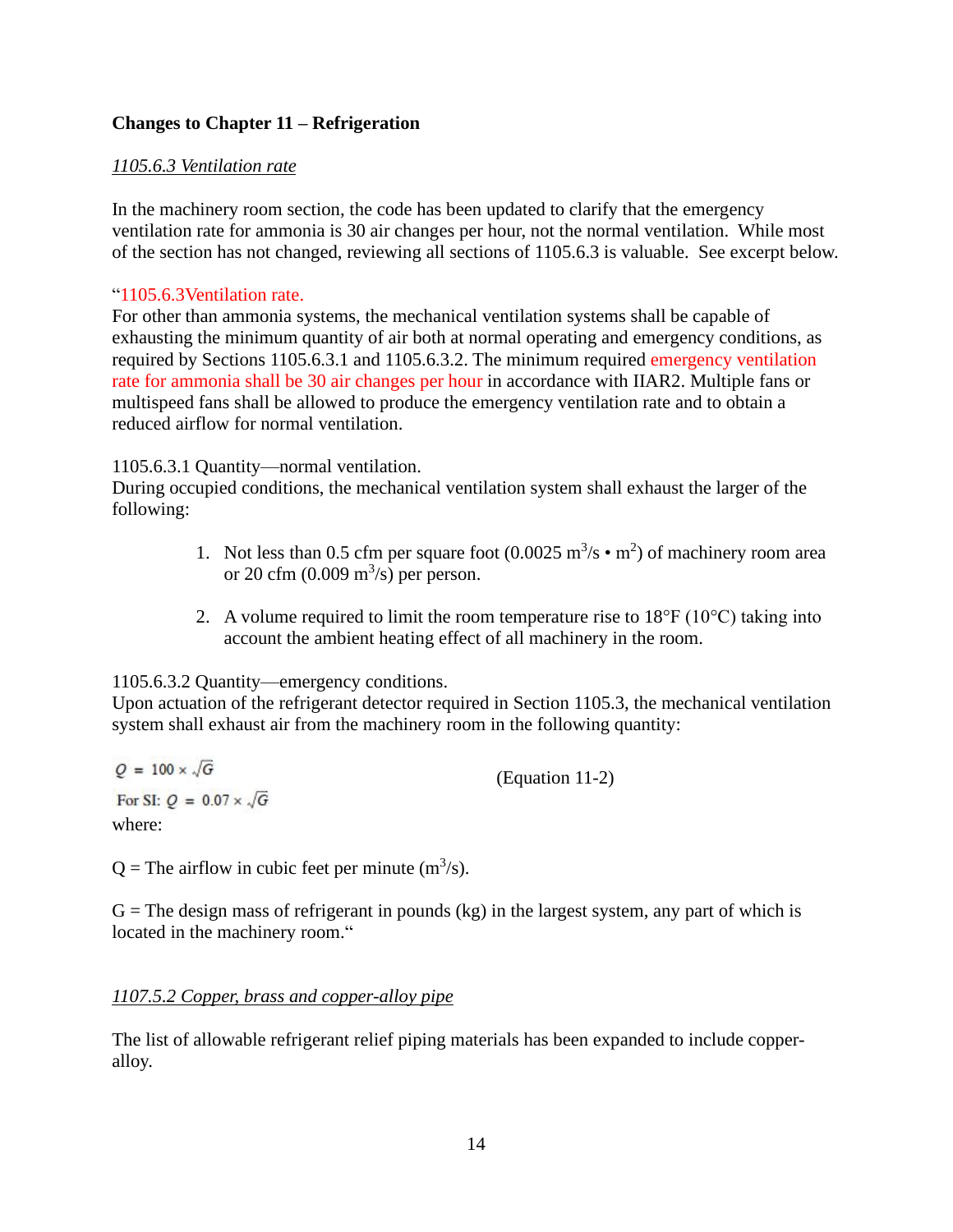#### **Changes** to **Chapter** 11 – **Refrigeration**

#### *1105.6.3 Ventilation rate*

In the machinery room section, the code has been updated to clarify that the emergency ventilation rate for ammonia is 30 air changes per hour, not the normal ventilation. While most of the section has not changed, reviewing all sections of  $1105.6.3$  is valuable. See excerpt below.

#### 1105.6.3Ventilation rate.

For other than ammonia systems, the mechanical ventilation systems shall be capable of exhausting the minimum quantity of air both at normal operating and emergency conditions, as required by Sections 1105.6.3.1 and 1105.6.3.2. The minimum required emergency ventilation rate for ammonia shall be 30 air changes per hour in accordance with IIAR2. Multiple fans or multispeed fans shall be allowed to produce the emergency ventilation rate and to obtain a reduced airflow for normal ventilation.

#### 1105.6.3.1 Quantity-normal ventilation.

During occupied conditions, the mechanical ventilation system shall exhaust the larger of the following: 1. Not less than 0.5 cfm per square foot  $(0.0025 \text{ m}^3/\text{s} \cdot \text{m}^2)$  of machinery room area

- or 20 cfm  $(0.009 \text{ m}^3/\text{s})$  per person.
- 2. A volume required to limit the room temperature rise to  $18^{\circ}$ F ( $10^{\circ}$ C) taking into account the ambient heating effect of all machinery in the room.

1105.6.3.2 Quantity—emergency conditions.

Upon actuation of the refrigerant detector required in Section 1105.3, the mechanical ventilation system shall exhaust air from the machinery room in the following quantity:

$$
Q = 100 \times \sqrt{G}
$$
  
For SI:  $Q = 0.07 \times \sqrt{G}$  (Equation 11-2)  
where:

 $Q$  = The airflow in cubic feet per minute (m<sup>3</sup>/s).

 $G =$ The design mass of refrigerant in pounds (kg) in the largest system, any part of which is  $G$  = The design mass of refrigerant in po<br>located in the machinery room."

#### *1107.5.2 Copper, brass and copper-alloy pipe*

The list of allowable refrigerant relief piping materials has been expanded to include copper alloy.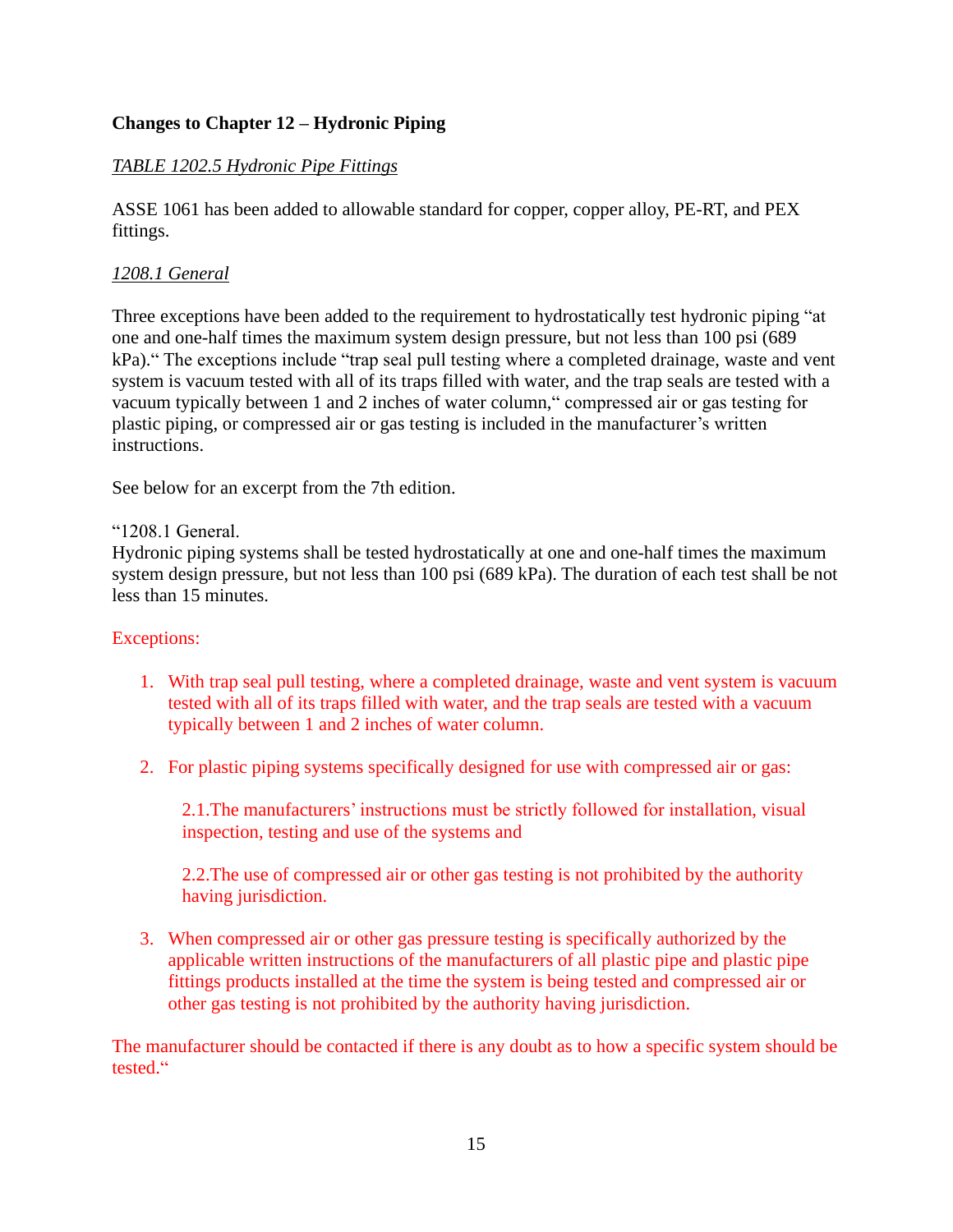### **Changes to Chapter <sup>12</sup> <sup>ñ</sup> Hydronic Piping**

### *TABLE 1202.5 Hydronic Pipe Fittings*

ASSE 1061 has been added to allowable standard for copper, copper alloy, PE-RT, and PEX fittings.

### *1208.1 General*

Three exceptions have been added to the requirement to hydrostatically test hydronic piping "at one and one-half times the maximum system design pressure, but not less than 100 psi (689 kPa)." The exceptions include "trap seal pull testing where a completed drainage, waste and vent system is vacuum tested with all of its traps filled with water, and the trap seals are tested with a kPa)." The exceptions include "trap seal pull testing where a completed drainage, waste and vent system is vacuum tested with all of its traps filled with water, and the trap seals are tested with a vacuum typically betwee system is vacuum tested with all of its traps filled with water, and the trap seals are tested with a<br>vacuum typically between 1 and 2 inches of water column," compressed air or gas testing for<br>plastic piping, or compresse instructions.

See below for an excerpt from the 7th edition.<br>"1208.1 General.

Hydronic piping systems shall be tested hydrostatically at one and one-half times the maximum system design pressure, but not less than 100 psi (689 kPa). The duration of each test shall be not less than 15 minutes.

#### Exceptions:

- 1. With trap seal pull testing, where a completed drainage, waste and vent system is vacuum tested with all of its traps filled with water, and the trap seals are tested with a vacuum typically between 1 and 2 inches of water column.
- 2. For plastic piping systems specifically designed for use with compressed airor gas:

2.1. The manufacturers' instructions must be strictly followed for installation, visual inspection, testing and use of the systems and

2.2.The use of compressed air or other gas testing is not prohibited by the authority having jurisdiction.

3. When compressed air or other gas pressure testing is specifically authorized by the applicable written instructions of the manufacturers of all plastic pipe and plastic pipe fittings products installed at the time the system is being tested and compressed air or other gas testing is not prohibited by the authority having jurisdiction.

The manufacturer should be contacted if there is any doubt as to how a specific system should be The ma<br>tested."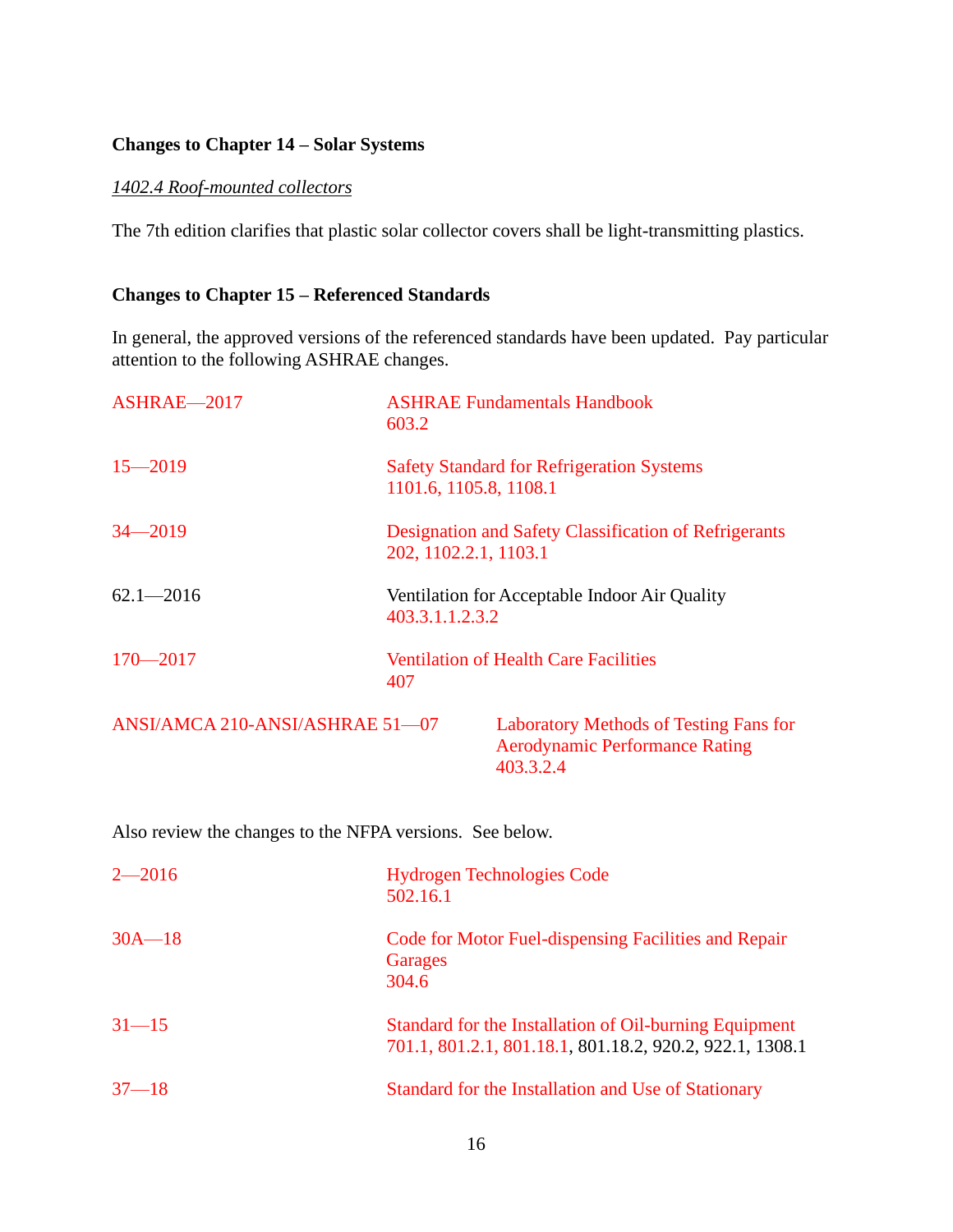#### **Changes to Chapter**  $14$  – **Solar Systems**

#### *1402.4 Roof-mounted collectors*

The 7th edition clarifies that plastic solar collector covers shall be light-transmitting plastics.

#### **Changes to Chapter** 15 – **Referenced Standards**

In general, the approved versions of the referenced standards have been updated. Pay particular

| attention to the following ASHRAE changes. |                                                                                                     |  |
|--------------------------------------------|-----------------------------------------------------------------------------------------------------|--|
| ASHRAE-2017                                | <b>ASHRAE Fundamentals Handbook</b><br>603.2                                                        |  |
| $15 - 2019$                                | <b>Safety Standard for Refrigeration Systems</b><br>1101.6, 1105.8, 1108.1                          |  |
| $34 - 2019$                                | Designation and Safety Classification of Refrigerants<br>202, 1102.2.1, 1103.1                      |  |
| $62.1 - 2016$                              | Ventilation for Acceptable Indoor Air Quality<br>403.3.1.1.2.3.2                                    |  |
| $170 - 2017$                               | <b>Ventilation of Health Care Facilities</b><br>407                                                 |  |
| ANSI/AMCA 210-ANSI/ASHRAE 51-07            | <b>Laboratory Methods of Testing Fans for</b><br><b>Aerodynamic Performance Rating</b><br>403.3.2.4 |  |

| Also review the changes to the NFPA versions. See below. |                                                                                                                    |  |
|----------------------------------------------------------|--------------------------------------------------------------------------------------------------------------------|--|
| $2 - 2016$                                               | <b>Hydrogen Technologies Code</b><br>502.16.1                                                                      |  |
| $30A - 18$                                               | Code for Motor Fuel-dispensing Facilities and Repair<br>Garages<br>304.6                                           |  |
| $31 - 15$                                                | Standard for the Installation of Oil-burning Equipment<br>701.1, 801.2.1, 801.18.1, 801.18.2, 920.2, 922.1, 1308.1 |  |
| $37 - 18$                                                | Standard for the Installation and Use of Stationary                                                                |  |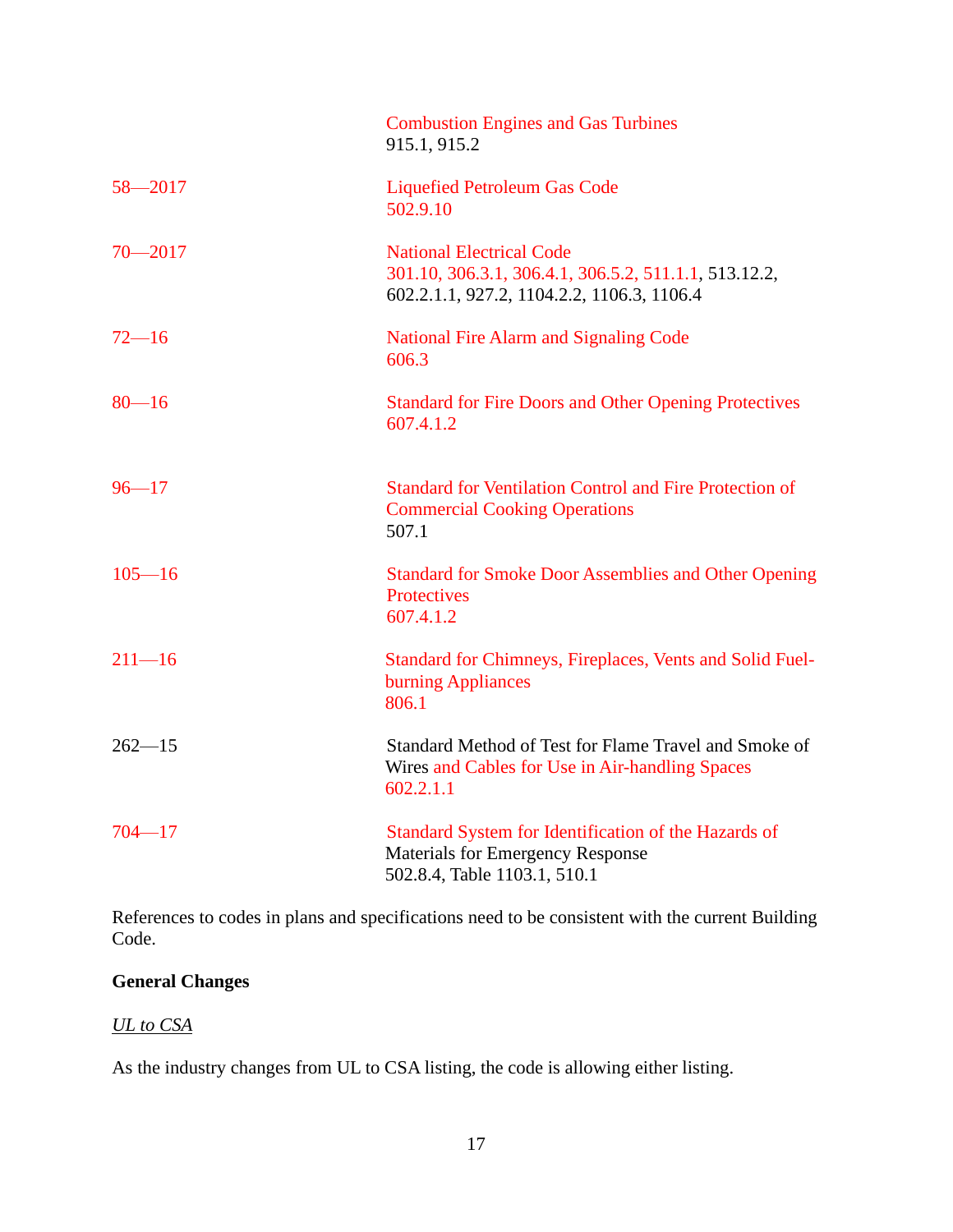|             | <b>Combustion Engines and Gas Turbines</b><br>915.1, 915.2                                                                             |
|-------------|----------------------------------------------------------------------------------------------------------------------------------------|
| $58 - 2017$ | <b>Liquefied Petroleum Gas Code</b><br>502.9.10                                                                                        |
| $70 - 2017$ | <b>National Electrical Code</b><br>301.10, 306.3.1, 306.4.1, 306.5.2, 511.1.1, 513.12.2,<br>602.2.1.1, 927.2, 1104.2.2, 1106.3, 1106.4 |
| $72 - 16$   | <b>National Fire Alarm and Signaling Code</b><br>606.3                                                                                 |
| $80 - 16$   | <b>Standard for Fire Doors and Other Opening Protectives</b><br>607.4.1.2                                                              |
| $96 - 17$   | <b>Standard for Ventilation Control and Fire Protection of</b><br><b>Commercial Cooking Operations</b><br>507.1                        |
| $105 - 16$  | <b>Standard for Smoke Door Assemblies and Other Opening</b><br>Protectives<br>607.4.1.2                                                |
| $211 - 16$  | Standard for Chimneys, Fireplaces, Vents and Solid Fuel-<br>burning Appliances<br>806.1                                                |
| $262 - 15$  | Standard Method of Test for Flame Travel and Smoke of<br>Wires and Cables for Use in Air-handling Spaces<br>602.2.1.1                  |
| $704 - 17$  | Standard System for Identification of the Hazards of<br><b>Materials for Emergency Response</b><br>502.8.4, Table 1103.1, 510.1        |

References to codes in plans and specifications need to be consistent with the current Building Code.

### **General Changes**

#### *UL to CSA*

As the industry changes from UL to CSA listing, the code is allowing either listing.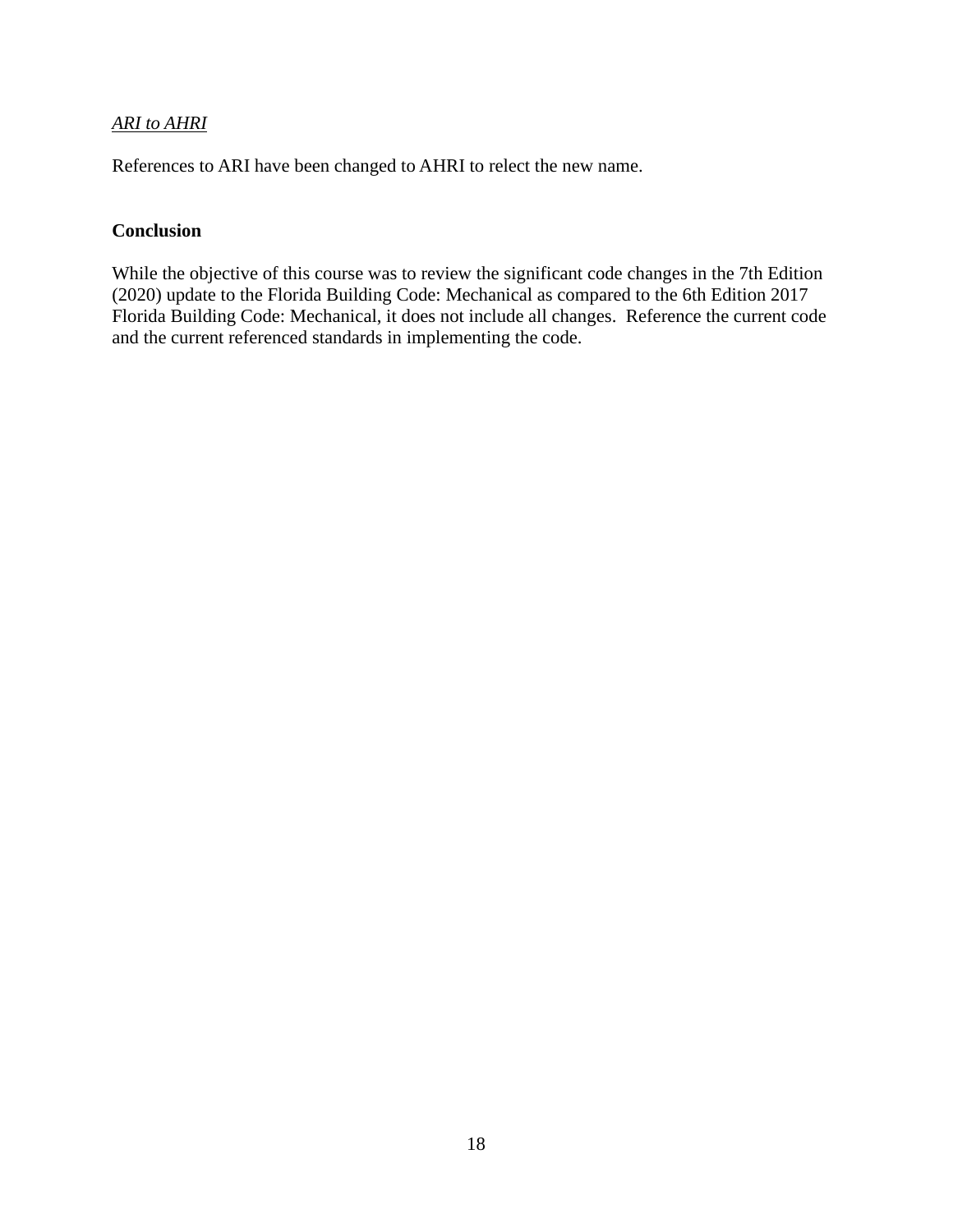#### *ARI to AHRI*

References to ARI have been changed to AHRI to relect the new name.

#### **Conclusion**

While the objective of this course was to review the significant code changes in the 7th Edition (2020) update to the Florida Building Code: Mechanical as compared to the 6th Edition 2017 Florida Building Code: Mechanical, it does not include allchanges. Reference the current code and the current referenced standards in implementing the code.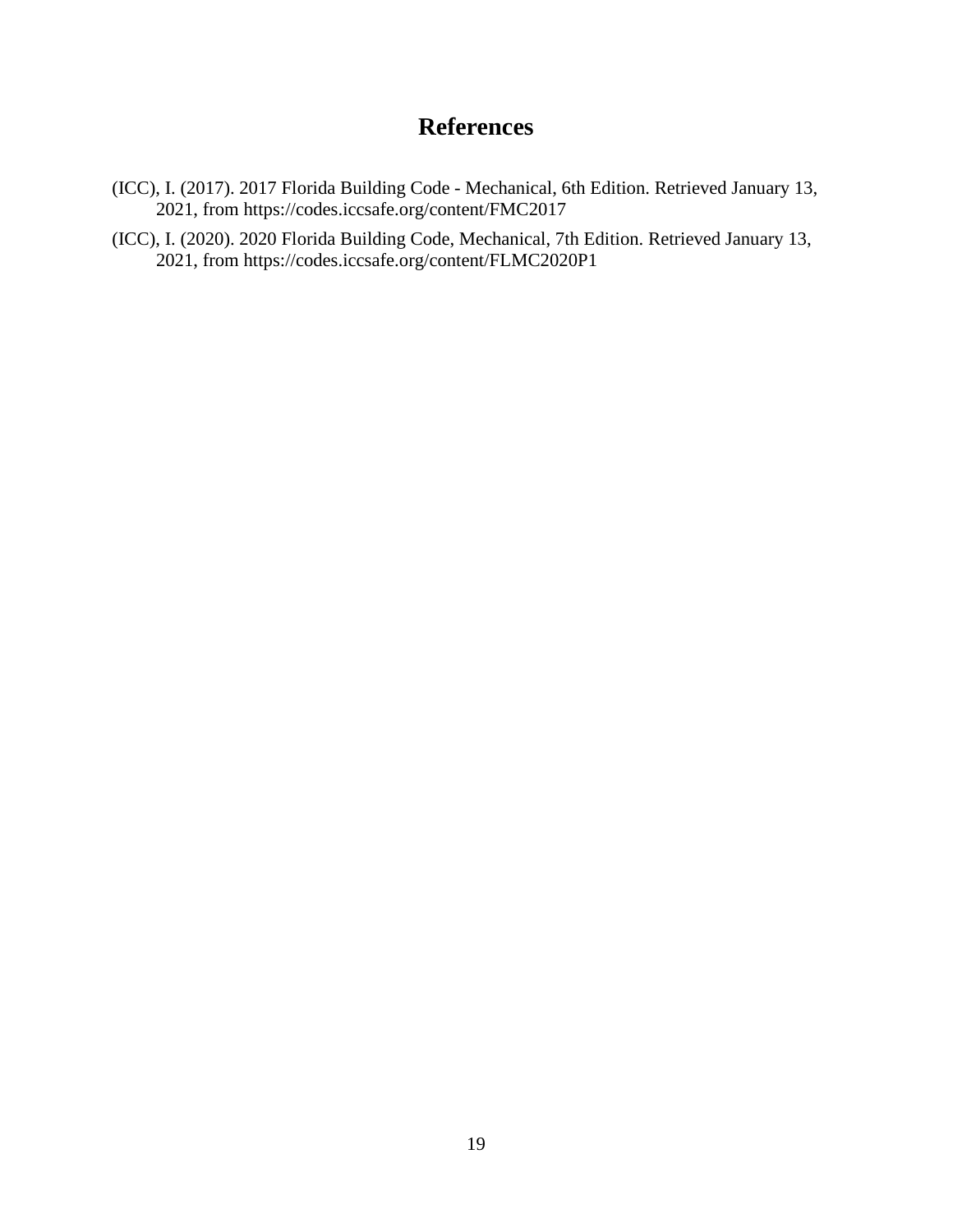### **References**

- (ICC), I. (2017). 2017 Florida Building Code Mechanical, 6th Edition. Retrieved January 13, 2021, from <https://codes.iccsafe.org/content/FMC2017>
- (ICC), I. (2020). 2020 Florida Building Code, Mechanical, 7th Edition. Retrieved January 13, 2021, from <https://codes.iccsafe.org/content/FLMC2020P1>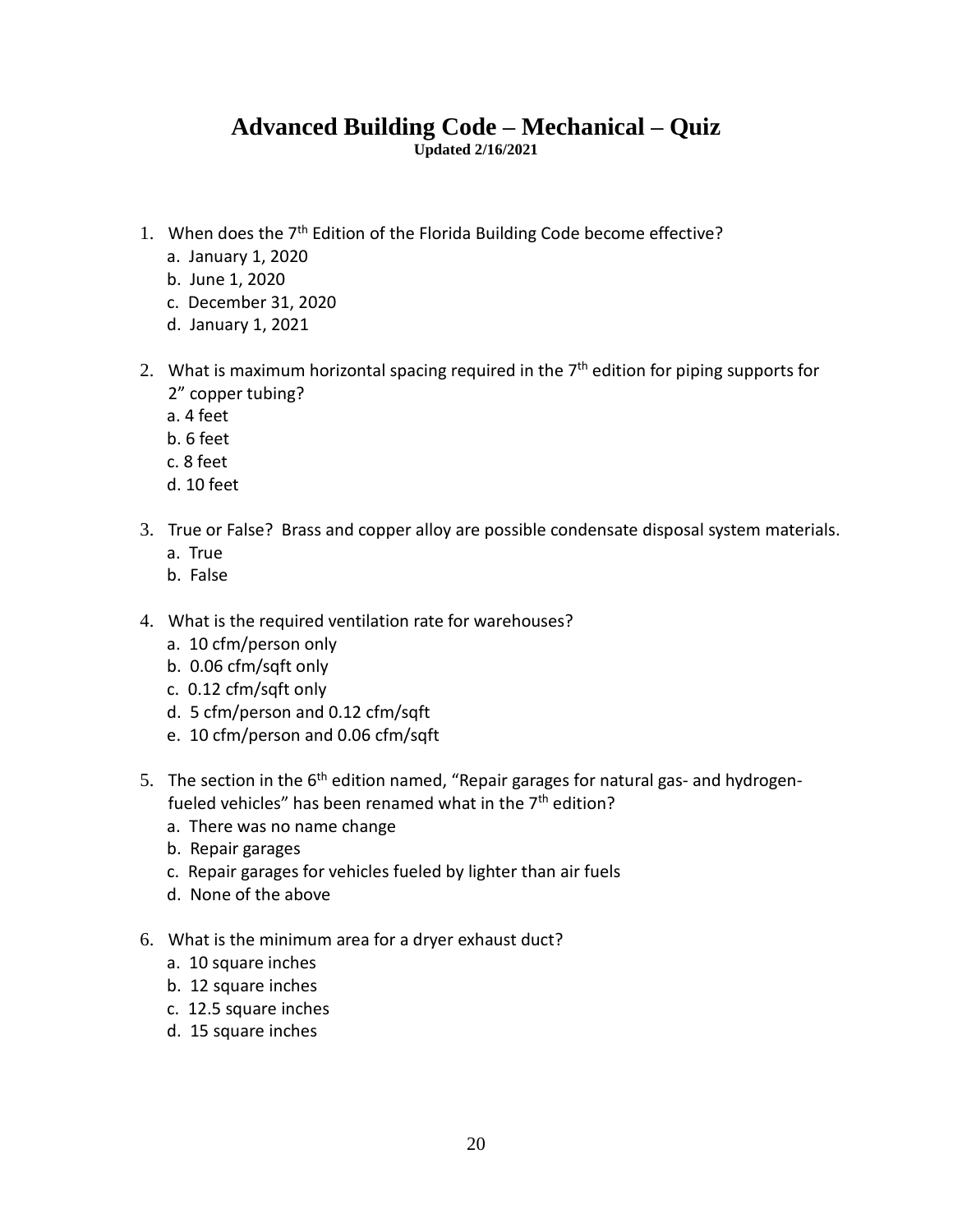# Advanced Building Code – Mechanical – Quiz **Updated 2/16/2021 1.** When does the  $7<sup>th</sup>$  Edition ed Building Code – Mechanical – Quiz<br>Updated 2/16/2021<br>Edition of the Florida Building Code become effective? **Advanced Bui<br>Pen does the 7<sup>th</sup> Edition conduct**<br>January 1, 2020  $A$ dvanced E<br>
hen does the 7<sup>th</sup> Editio<br>
January 1, 2020<br>
June 1. 2020

- nen does the 7<sup>th</sup> Edition of th<br>January 1, 2020<br>June 1, 2020<br>December 31. 2020 nen does the 7<sup>th</sup> Edition o<br>January 1, 2020<br>June 1, 2020<br>December 31, 2020<br>January 1, 2021 2. When does the 7<sup>th</sup> Edition of the Florida Building Code become<br>
2. January 1, 2020<br>
2. December 31, 2020<br>
2. What is maximum horizontal spacing required in the 7<sup>th</sup> edition ecome<br>edition
	- a. January 1, 2020
	- b. June 1, 2020
	- c. December 31, 2020
	- d. January 1, 2021 d.
- effective?<br>for piping supports for January 1, 2020<br>June 1, 2020<br>December 31, 2020<br>January 1, 2021<br>nat is maximum horizon<br>copper tubing? June 1, 202<br>December 3<br>January 1, 2<br>hat is maxim<br>copper tubi December 3<br>January 1, 2<br>hat is maxim<br>copper tubi<br>4 feet<br>6 feet January 1, 3<br>
hat is maxin<br>
copper tub<br>
4 feet<br>
6 feet<br>
8 feet hat is maximu<br>
copper tubin<br>
4 feet<br>
6 feet<br>
8 feet<br>
10 feet 2" copper tubing?<br>
a. 4 feet<br>
b. 6 feet<br>
c. 8 feet<br>
d. 10 feet<br>
3. True or False? Brass and copper alloy are possible condensate disposal system materials.
	- a. 4 feet<br>b. 6 feet
	-
	-
	- a.
- 1 feet<br>3 feet<br>3 feet<br>10 feet<br>10 feet<br>10 ralse? B Freet<br>3 feet<br>10 feet<br>10 feet<br>ee or False? Br<br>True<br>False d. 10 feet<br>3. True or False? Brass and copper alloy are possible condensate<br>a. True<br>b. False<br>4. What is the required ventilation rate for warehouses? 10 contracts<br>10 corpulation and copper<br>10 cfm<br>10 cfm/person only<br>10 cfm/person only True or False? Brass and copp<br>a. True<br>b. False<br>What is the required ventilati<br>a. 10 cfm/person only<br>b. 0.06 cfm/saft only
	- a. True
	- b. False
- True<br>
False<br>
hat is the required ventilation<br>
10 cfm/person only<br>
0.06 cfm/sqft only<br>
0.12 cfm/sqft only False<br>nat is the required ventilation rate for<br>10 cfm/person only<br>0.06 cfm/sqft only<br>0.12 cfm/sqft only<br>5 cfm/person and 0.12 cfm/sqft nat is the required ventilation rate for w<br>10 cfm/person only<br>0.06 cfm/sqft only<br>0.12 cfm/sqft only<br>5 cfm/person and 0.12 cfm/sqft<br>10 cfm/person and 0.06 cfm/sqft
	- a. 10 cfm/person only<br>b. 0.06 cfm/sqft only
	-
	- $\sim$  0.12 cfm/sqft.only
	- y<br>0.12 cfr<br>0.06 ci b.
	- c.d.
- 3. 10 cfm/person only<br>
b. 0.06 cfm/sqft only<br>
c. 0.12 cfm/sqft only<br>
d. 5 cfm/person and 0.12 cfm/sqft<br>
e. 10 cfm/person and 0.06 cfm/sqft<br>
5. The section in the 6<sup>th</sup> edition named, "Repair garages for natural gas- and h i cfm/sqft only<br>
of m/sqft only<br>
m/person and 0.12 cfm/sqft<br>
fm/person and 0.06 cfm/sqft<br>
tion in the 6<sup>th</sup> edition named, "Repair garages for nation?<br>
vehicles" has been renamed what in the 7<sup>th</sup> edition? 0.12 cfm/sqft only<br>5 cfm/person and 0.12 cfm/sqft<br>10 cfm/person and 0.06 cfm/sqft<br>e section in the 6<sup>th</sup> edition named, "F<br>eled vehicles" has been renamed what<br>There was no name change 5 cfm/person and 0.1<br>10 cfm/person and 0.1<br>2 section in the 6<sup>th</sup> edi-<br>led vehicles" has been<br>There was no name ch<br>Repair garages 10 cfm/person and 0.06 cfm/sqft<br>e section in the 6<sup>th</sup> edition named, "Repair garages for natural ga<br>eled vehicles" has been renamed what in the 7<sup>th</sup> edition?<br>There was no name change<br>Repair garages<br>Repair garages for ve e section in the 6<sup>th</sup> edition n<br>eled vehicles" has been rena<br>There was no name change<br>Repair garages<br>Repair garages for vehicles f<br>None of the above fueled vehicles" has been renamed what in the  $7<sup>th</sup>$  edition?
	- a. There was no name change There was no name cha<br>
	Repair garages<br>
	Repair garages<br>
	Repair garages for vehic<br>
	None of the above<br>
	at is the minimum area<br>
	10 square inches
	- b. Repair garages
	- Mepair garages<br>
	Repair garages for vehicl<br>
	None of the above<br>
	hat is the minimum area<br>
	10 square inches<br>
	12 square inches c. Repair garages for vehicle<br>d. None of the above<br>What is the minimum area for<br>a. 10 square inches<br>b. 12 square inches<br>c. 12.5 square inches
	- d. None of the above
- 6. What is the minimum area for a dryer exhaust duct?<br>
a. 10 square inches<br>
b. 12 square inches<br>
c. 12.5 square inches<br>
d. 15 square inches
	-
	-
	-
	-